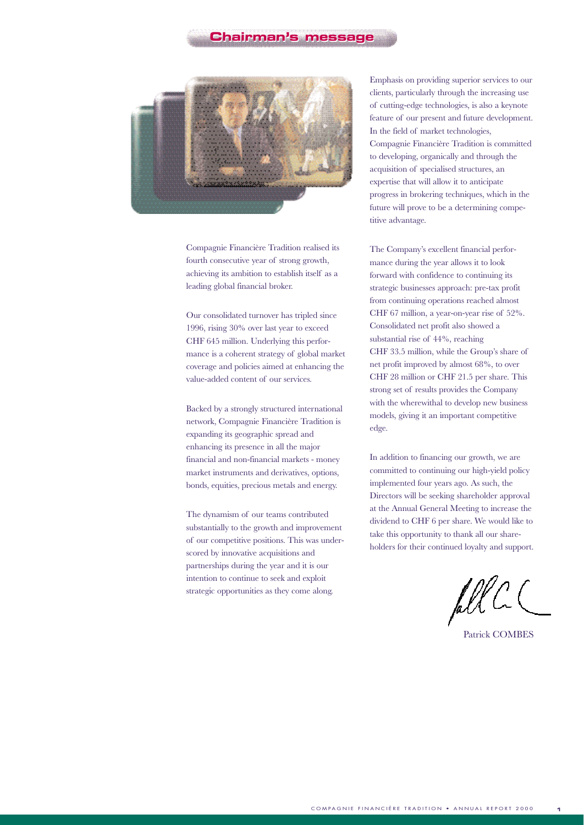

Compagnie Financière Tradition realised its fourth consecutive year of strong growth, achieving its ambition to establish itself as a leading global financial broker.

Our consolidated turnover has tripled since 1996, rising 30% over last year to exceed CHF 645 million. Underlying this performance is a coherent strategy of global market coverage and policies aimed at enhancing the value-added content of our services.

Backed by a strongly structured international network, Compagnie Financière Tradition is expanding its geographic spread and enhancing its presence in all the major financial and non-financial markets - money market instruments and derivatives, options, bonds, equities, precious metals and energy.

The dynamism of our teams contributed substantially to the growth and improvement of our competitive positions. This was underscored by innovative acquisitions and partnerships during the year and it is our intention to continue to seek and exploit strategic opportunities as they come along.

Emphasis on providing superior services to our clients, particularly through the increasing use of cutting-edge technologies, is also a keynote feature of our present and future development. In the field of market technologies, Compagnie Financière Tradition is committed to developing, organically and through the acquisition of specialised structures, an expertise that will allow it to anticipate progress in brokering techniques, which in the future will prove to be a determining competitive advantage.

The Company's excellent financial performance during the year allows it to look forward with confidence to continuing its strategic businesses approach: pre-tax profit from continuing operations reached almost CHF 67 million, a year-on-year rise of 52%. Consolidated net profit also showed a substantial rise of 44%, reaching CHF 33.5 million, while the Group's share of net profit improved by almost 68%, to over CHF 28 million or CHF 21.5 per share. This strong set of results provides the Company with the wherewithal to develop new business models, giving it an important competitive edge.

In addition to financing our growth, we are committed to continuing our high-yield policy implemented four years ago. As such, the Directors will be seeking shareholder approval at the Annual General Meeting to increase the dividend to CHF 6 per share. We would like to take this opportunity to thank all our shareholders for their continued loyalty and support.

fell C

Patrick COMBES

**1**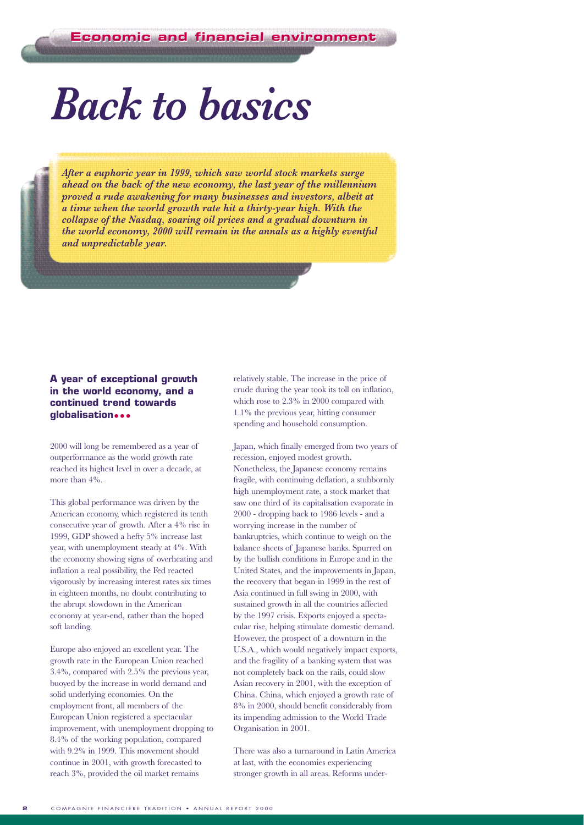# *Back to basics*

*After a euphoric year in 1999, which saw world stock markets surge ahead on the back of the new economy, the last year of the millennium proved a rude awakening for many businesses and investors, albeit at a time when the world growth rate hit a thirty-year high. With the collapse of the Nasdaq, soaring oil prices and a gradual downturn in the world economy, 2000 will remain in the annals as a highly eventful and unpredictable year.*

#### **A year of exceptional growth in the world economy, and a continued trend towards globalisation•••**

2000 will long be remembered as a year of outperformance as the world growth rate reached its highest level in over a decade, at more than 4%.

This global performance was driven by the American economy, which registered its tenth consecutive year of growth. After a 4% rise in 1999, GDP showed a hefty 5% increase last year, with unemployment steady at 4%. With the economy showing signs of overheating and inflation a real possibility, the Fed reacted vigorously by increasing interest rates six times in eighteen months, no doubt contributing to the abrupt slowdown in the American economy at year-end, rather than the hoped soft landing.

Europe also enjoyed an excellent year. The growth rate in the European Union reached 3.4%, compared with 2.5% the previous year, buoyed by the increase in world demand and solid underlying economies. On the employment front, all members of the European Union registered a spectacular improvement, with unemployment dropping to 8.4% of the working population, compared with 9.2% in 1999. This movement should continue in 2001, with growth forecasted to reach 3%, provided the oil market remains

relatively stable. The increase in the price of crude during the year took its toll on inflation, which rose to 2.3% in 2000 compared with 1.1% the previous year, hitting consumer spending and household consumption.

Japan, which finally emerged from two years of recession, enjoyed modest growth. Nonetheless, the Japanese economy remains fragile, with continuing deflation, a stubbornly high unemployment rate, a stock market that saw one third of its capitalisation evaporate in 2000 - dropping back to 1986 levels - and a worrying increase in the number of bankruptcies, which continue to weigh on the balance sheets of Japanese banks. Spurred on by the bullish conditions in Europe and in the United States, and the improvements in Japan, the recovery that began in 1999 in the rest of Asia continued in full swing in 2000, with sustained growth in all the countries affected by the 1997 crisis. Exports enjoyed a spectacular rise, helping stimulate domestic demand. However, the prospect of a downturn in the U.S.A., which would negatively impact exports, and the fragility of a banking system that was not completely back on the rails, could slow Asian recovery in 2001, with the exception of China. China, which enjoyed a growth rate of 8% in 2000, should benefit considerably from its impending admission to the World Trade Organisation in 2001.

There was also a turnaround in Latin America at last, with the economies experiencing stronger growth in all areas. Reforms under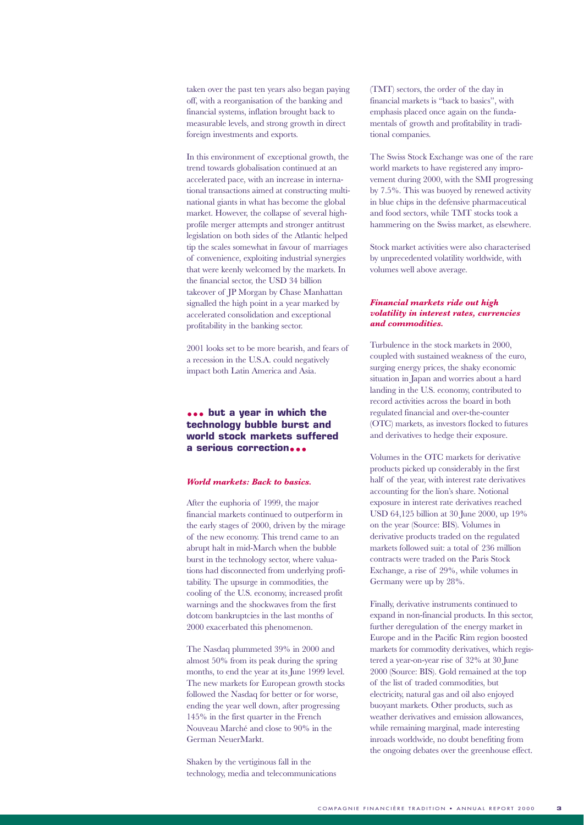taken over the past ten years also began paying off, with a reorganisation of the banking and financial systems, inflation brought back to measurable levels, and strong growth in direct foreign investments and exports.

In this environment of exceptional growth, the trend towards globalisation continued at an accelerated pace, with an increase in international transactions aimed at constructing multinational giants in what has become the global market. However, the collapse of several highprofile merger attempts and stronger antitrust legislation on both sides of the Atlantic helped tip the scales somewhat in favour of marriages of convenience, exploiting industrial synergies that were keenly welcomed by the markets. In the financial sector, the USD 34 billion takeover of JP Morgan by Chase Manhattan signalled the high point in a year marked by accelerated consolidation and exceptional profitability in the banking sector.

2001 looks set to be more bearish, and fears of a recession in the U.S.A. could negatively impact both Latin America and Asia.

#### **••• but a year in which the technology bubble burst and world stock markets suffered a serious correction•••**

#### *World markets: Back to basics.*

After the euphoria of 1999, the major financial markets continued to outperform in the early stages of 2000, driven by the mirage of the new economy. This trend came to an abrupt halt in mid-March when the bubble burst in the technology sector, where valuations had disconnected from underlying profitability. The upsurge in commodities, the cooling of the U.S. economy, increased profit warnings and the shockwaves from the first dotcom bankruptcies in the last months of 2000 exacerbated this phenomenon.

The Nasdaq plummeted 39% in 2000 and almost 50% from its peak during the spring months, to end the year at its June 1999 level. The new markets for European growth stocks followed the Nasdaq for better or for worse, ending the year well down, after progressing 145% in the first quarter in the French Nouveau Marché and close to 90% in the German NeuerMarkt.

Shaken by the vertiginous fall in the technology, media and telecommunications (TMT) sectors, the order of the day in financial markets is "back to basics", with emphasis placed once again on the fundamentals of growth and profitability in traditional companies.

The Swiss Stock Exchange was one of the rare world markets to have registered any improvement during 2000, with the SMI progressing by 7.5%. This was buoyed by renewed activity in blue chips in the defensive pharmaceutical and food sectors, while TMT stocks took a hammering on the Swiss market, as elsewhere.

Stock market activities were also characterised by unprecedented volatility worldwide, with volumes well above average.

#### *Financial markets ride out high volatility in interest rates, currencies and commodities.*

Turbulence in the stock markets in 2000, coupled with sustained weakness of the euro, surging energy prices, the shaky economic situation in Japan and worries about a hard landing in the U.S. economy, contributed to record activities across the board in both regulated financial and over-the-counter (OTC) markets, as investors flocked to futures and derivatives to hedge their exposure.

Volumes in the OTC markets for derivative products picked up considerably in the first half of the year, with interest rate derivatives accounting for the lion's share. Notional exposure in interest rate derivatives reached USD 64,125 billion at 30 June 2000, up 19% on the year (Source: BIS). Volumes in derivative products traded on the regulated markets followed suit: a total of 236 million contracts were traded on the Paris Stock Exchange, a rise of 29%, while volumes in Germany were up by 28%.

Finally, derivative instruments continued to expand in non-financial products. In this sector, further deregulation of the energy market in Europe and in the Pacific Rim region boosted markets for commodity derivatives, which registered a year-on-year rise of 32% at 30 June 2000 (Source: BIS). Gold remained at the top of the list of traded commodities, but electricity, natural gas and oil also enjoyed buoyant markets. Other products, such as weather derivatives and emission allowances, while remaining marginal, made interesting inroads worldwide, no doubt benefiting from the ongoing debates over the greenhouse effect.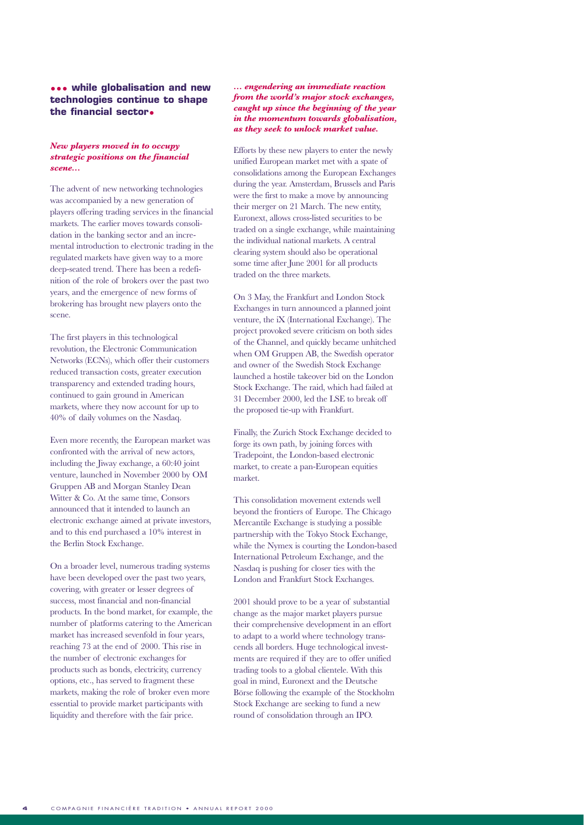#### **••• while globalisation and new technologies continue to shape the financial sector•**

#### *New players moved in to occupy strategic positions on the financial scene...*

The advent of new networking technologies was accompanied by a new generation of players offering trading services in the financial markets. The earlier moves towards consolidation in the banking sector and an incremental introduction to electronic trading in the regulated markets have given way to a more deep-seated trend. There has been a redefinition of the role of brokers over the past two years, and the emergence of new forms of brokering has brought new players onto the scene.

The first players in this technological revolution, the Electronic Communication Networks (ECNs), which offer their customers reduced transaction costs, greater execution transparency and extended trading hours, continued to gain ground in American markets, where they now account for up to 40% of daily volumes on the Nasdaq.

Even more recently, the European market was confronted with the arrival of new actors, including the Jiway exchange, a 60:40 joint venture, launched in November 2000 by OM Gruppen AB and Morgan Stanley Dean Witter & Co. At the same time, Consors announced that it intended to launch an electronic exchange aimed at private investors, and to this end purchased a 10% interest in the Berlin Stock Exchange.

On a broader level, numerous trading systems have been developed over the past two years, covering, with greater or lesser degrees of success, most financial and non-financial products. In the bond market, for example, the number of platforms catering to the American market has increased sevenfold in four years, reaching 73 at the end of 2000. This rise in the number of electronic exchanges for products such as bonds, electricity, currency options, etc., has served to fragment these markets, making the role of broker even more essential to provide market participants with liquidity and therefore with the fair price.

#### *... engendering an immediate reaction from the world's major stock exchanges, caught up since the beginning of the year in the momentum towards globalisation, as they seek to unlock market value.*

Efforts by these new players to enter the newly unified European market met with a spate of consolidations among the European Exchanges during the year. Amsterdam, Brussels and Paris were the first to make a move by announcing their merger on 21 March. The new entity, Euronext, allows cross-listed securities to be traded on a single exchange, while maintaining the individual national markets. A central clearing system should also be operational some time after June 2001 for all products traded on the three markets.

On 3 May, the Frankfurt and London Stock Exchanges in turn announced a planned joint venture, the iX (International Exchange). The project provoked severe criticism on both sides of the Channel, and quickly became unhitched when OM Gruppen AB, the Swedish operator and owner of the Swedish Stock Exchange launched a hostile takeover bid on the London Stock Exchange. The raid, which had failed at 31 December 2000, led the LSE to break off the proposed tie-up with Frankfurt.

Finally, the Zurich Stock Exchange decided to forge its own path, by joining forces with Tradepoint, the London-based electronic market, to create a pan-European equities market.

This consolidation movement extends well beyond the frontiers of Europe. The Chicago Mercantile Exchange is studying a possible partnership with the Tokyo Stock Exchange, while the Nymex is courting the London-based International Petroleum Exchange, and the Nasdaq is pushing for closer ties with the London and Frankfurt Stock Exchanges.

2001 should prove to be a year of substantial change as the major market players pursue their comprehensive development in an effort to adapt to a world where technology transcends all borders. Huge technological investments are required if they are to offer unified trading tools to a global clientele. With this goal in mind, Euronext and the Deutsche Börse following the example of the Stockholm Stock Exchange are seeking to fund a new round of consolidation through an IPO.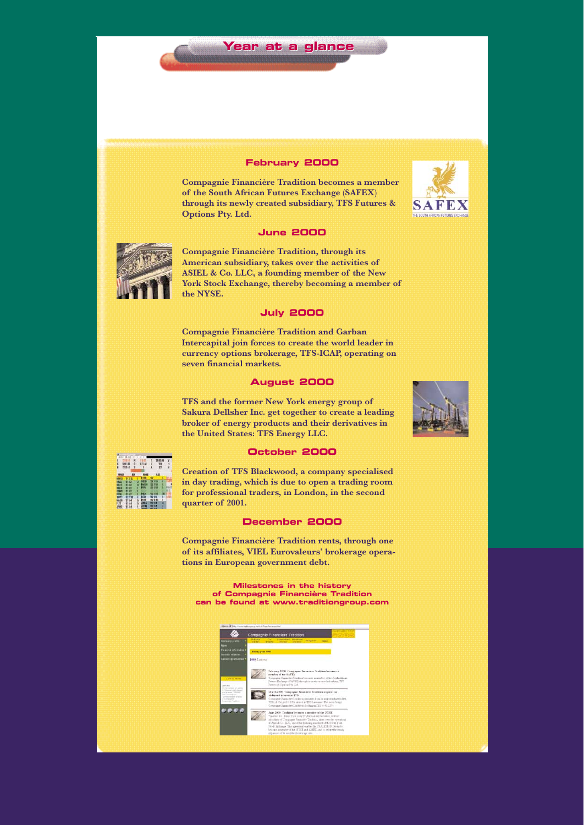#### **February 2000**

**Year at a glance Year at a glance**

**Compagnie Financière Tradition becomes a member of the South African Futures Exchange (SAFEX) through its newly created subsidiary, TFS Futures & Options Pty. Ltd.**

#### **June 2000**



**Compagnie Financière Tradition, through its American subsidiary, takes over the activities of ASIEL & Co. LLC, a founding member of the New York Stock Exchange, thereby becoming a member of the NYSE.**

#### **July 2000**

**Compagnie Financière Tradition and Garban Intercapital join forces to create the world leader in currency options brokerage, TFS-ICAP, operating on seven financial markets.**

#### **August 2000**

**TFS and the former New York energy group of Sakura Dellsher Inc. get together to create a leading broker of energy products and their derivatives in the United States: TFS Energy LLC.**





**October 2000**

**Creation of TFS Blackwood, a company specialised in day trading, which is due to open a trading room for professional traders, in London, in the second quarter of 2001.**

#### **December 2000**

**Compagnie Financière Tradition rents, through one of its affiliates, VIEL Eurovaleurs' brokerage operations in European government debt.** 

**Milestones in the history of Compagnie Financière Tradition can be found at www.traditiongroup.com**



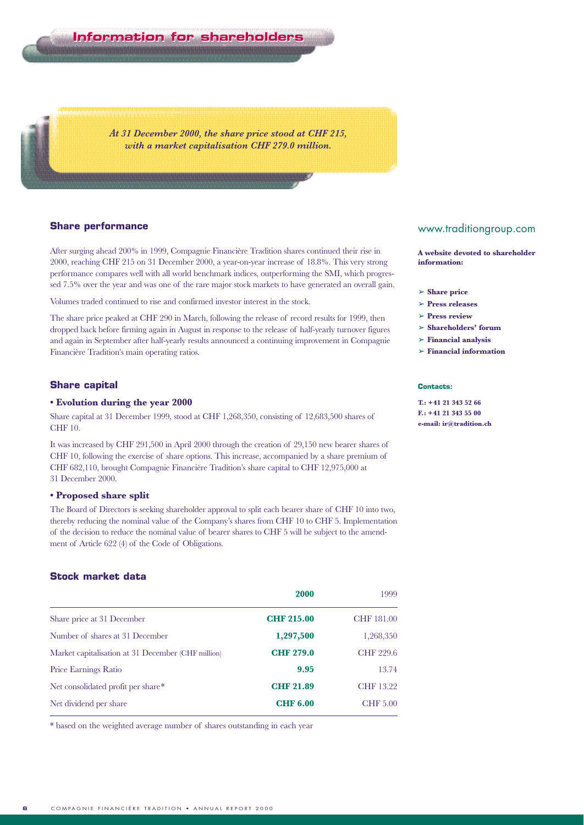**Information for shareholders Information for shareholders**

*At 31 December 2000, the share price stood at CHF 215, with a market capitalisation CHF 279.0 million.*

#### **Share performance**

After surging ahead 200% in 1999, Compagnie Financière Tradition shares continued their rise in 2000, reaching CHF 215 on 31 December 2000, a year-on-year increase of 18.8%. This very strong performance compares well with all world benchmark indices, outperforming the SMI, which progressed 7.5% over the year and was one of the rare major stock markets to have generated an overall gain.

Volumes traded continued to rise and confirmed investor interest in the stock.

The share price peaked at CHF 290 in March, following the release of record results for 1999, then dropped back before firming again in August in response to the release of half-yearly turnover figures and again in September after half-yearly results announced a continuing improvement in Compagnie Financière Tradition's main operating ratios.

#### **Share capital**

#### **• Evolution during the year 2000**

Share capital at 31 December 1999, stood at CHF 1,268,350, consisting of 12,683,500 shares of CHF 10.

It was increased by CHF 291,500 in April 2000 through the creation of 29,150 new bearer shares of CHF 10, following the exercise of share options. This increase, accompanied by a share premium of CHF 682,110, brought Compagnie Financière Tradition's share capital to CHF 12,975,000 at 31 December 2000.

#### **• Proposed share split**

The Board of Directors is seeking shareholder approval to split each bearer share of CHF 10 into two, thereby reducing the nominal value of the Company's shares from CHF 10 to CHF 5. Implementation of the decision to reduce the nominal value of bearer shares to CHF 5 will be subject to the amendment of Article 622 (4) of the Code of Obligations.

#### **Stock market data**

|                                                    | 2000              | 1999            |
|----------------------------------------------------|-------------------|-----------------|
| Share price at 31 December                         | <b>CHF 215.00</b> | CHF 181.00      |
| Number of shares at 31 December                    | 1,297,500         | 1,268,350       |
| Market capitalisation at 31 December (CHF million) | <b>CHF 279.0</b>  | CHF 229.6       |
| Price Earnings Ratio                               | 9.95              | 13.74           |
| Net consolidated profit per share*                 | <b>CHF 21.89</b>  | CHF 13.22       |
| Net dividend per share                             | <b>CHF 6.00</b>   | <b>CHF 5.00</b> |

\* based on the weighted average number of shares outstanding in each year

#### www.traditiongroup.com

**A website devoted to shareholder information:**

- ➢ **Share price**
- ➢ **Press releases**
- ➢ **Press review**
- ➢ **Shareholders' forum**
- ➢ **Financial analysis**
- ➢ **Financial information**

#### **Contacts:**

**T.: +41 21 343 52 66 F.: +41 21 343 55 00 e-mail: ir@tradition.ch**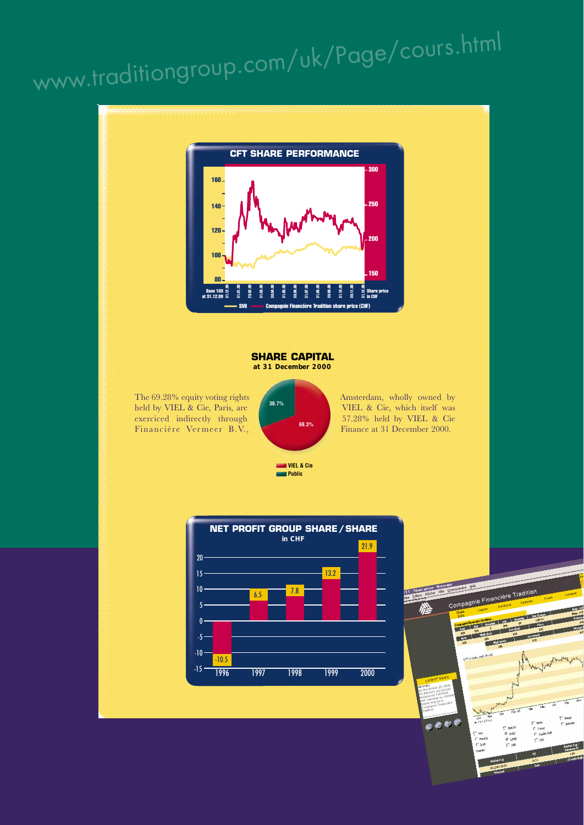# www.traditiongroup.com/uk/Page/cours.html

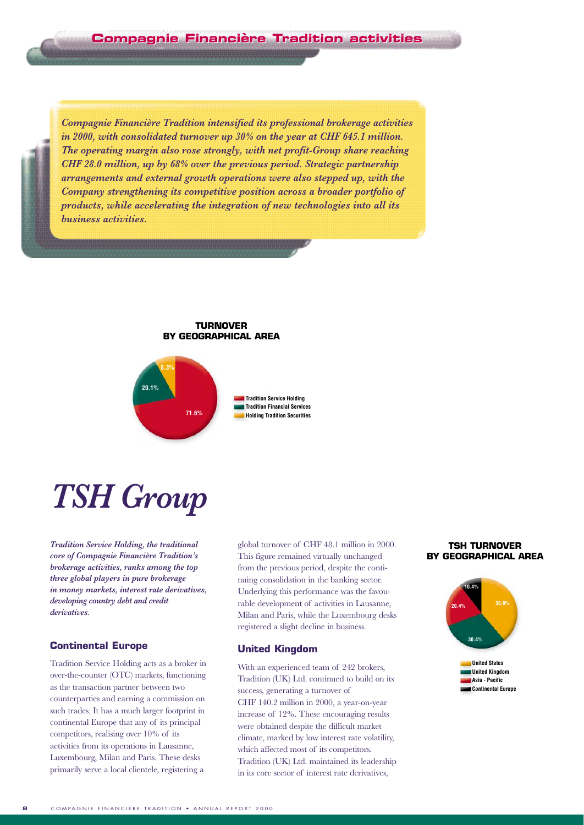*Compagnie Financière Tradition intensified its professional brokerage activities in 2000, with consolidated turnover up 30% on the year at CHF 645.1 million. The operating margin also rose strongly, with net profit-Group share reaching CHF 28.0 million, up by 68% over the previous period. Strategic partnership arrangements and external growth operations were also stepped up, with the Company strengthening its competitive position across a broader portfolio of products, while accelerating the integration of new technologies into all its business activities.* 

#### **TURNOVER BY GEOGRAPHICAL AREA**



**71.6% Holding Tradition Securities Tradition Financial Services Tradition Service Holding** 

# *TSH Group*

*Tradition Service Holding, the traditional core of Compagnie Financière Tradition's brokerage activities, ranks among the top three global players in pure brokerage in money markets, interest rate derivatives, developing country debt and credit derivatives.*

#### **Continental Europe**

Tradition Service Holding acts as a broker in over-the-counter (OTC) markets, functioning as the transaction partner between two counterparties and earning a commission on such trades. It has a much larger footprint in continental Europe that any of its principal competitors, realising over 10% of its activities from its operations in Lausanne, Luxembourg, Milan and Paris. These desks primarily serve a local clientele, registering a

global turnover of CHF 48.1 million in 2000. This figure remained virtually unchanged from the previous period, despite the continuing consolidation in the banking sector. Underlying this performance was the favourable development of activities in Lausanne, Milan and Paris, while the Luxembourg desks registered a slight decline in business.

#### **United Kingdom**

With an experienced team of 242 brokers, Tradition (UK) Ltd. continued to build on its success, generating a turnover of CHF 140.2 million in 2000, a year-on-year increase of 12%. These encouraging results were obtained despite the difficult market climate, marked by low interest rate volatility, which affected most of its competitors. Tradition (UK) Ltd. maintained its leadership in its core sector of interest rate derivatives,

#### **TSH TURNOVER BY GEOGRAPHICAL AREA**

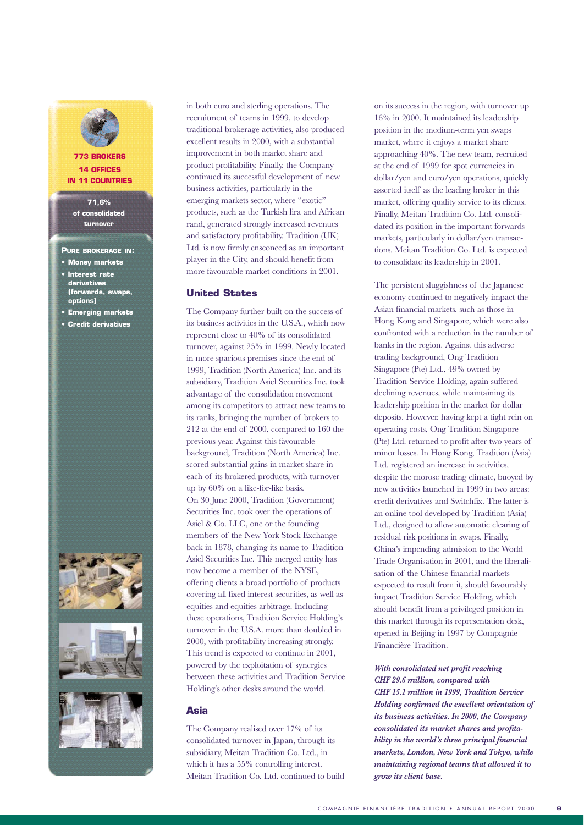

#### **773 BROKERS 14 OFFICES IN 11 COUNTRIES**

**71,6% of consolidated turnover**

#### **PURE BROKERAGE IN:**

- **Money markets**
- **Interest rate derivatives (forwards, swaps, options)**
- **Emerging markets**
- **Credit derivatives**





in both euro and sterling operations. The recruitment of teams in 1999, to develop traditional brokerage activities, also produced excellent results in 2000, with a substantial improvement in both market share and product profitability. Finally, the Company continued its successful development of new business activities, particularly in the emerging markets sector, where "exotic" products, such as the Turkish lira and African rand, generated strongly increased revenues and satisfactory profitability. Tradition (UK) Ltd. is now firmly ensconced as an important player in the City, and should benefit from more favourable market conditions in 2001.

#### **United States**

The Company further built on the success of its business activities in the U.S.A., which now represent close to 40% of its consolidated turnover, against 25% in 1999. Newly located in more spacious premises since the end of 1999, Tradition (North America) Inc. and its subsidiary, Tradition Asiel Securities Inc. took advantage of the consolidation movement among its competitors to attract new teams to its ranks, bringing the number of brokers to 212 at the end of 2000, compared to 160 the previous year. Against this favourable background, Tradition (North America) Inc. scored substantial gains in market share in each of its brokered products, with turnover up by 60% on a like-for-like basis. On 30 June 2000, Tradition (Government) Securities Inc. took over the operations of Asiel & Co. LLC, one or the founding members of the New York Stock Exchange back in 1878, changing its name to Tradition Asiel Securities Inc. This merged entity has now become a member of the NYSE, offering clients a broad portfolio of products covering all fixed interest securities, as well as equities and equities arbitrage. Including these operations, Tradition Service Holding's turnover in the U.S.A. more than doubled in 2000, with profitability increasing strongly. This trend is expected to continue in 2001, powered by the exploitation of synergies between these activities and Tradition Service Holding's other desks around the world.

#### **Asia**

The Company realised over 17% of its consolidated turnover in Japan, through its subsidiary, Meitan Tradition Co. Ltd., in which it has a 55% controlling interest. Meitan Tradition Co. Ltd. continued to build on its success in the region, with turnover up 16% in 2000. It maintained its leadership position in the medium-term yen swaps market, where it enjoys a market share approaching 40%. The new team, recruited at the end of 1999 for spot currencies in dollar/yen and euro/yen operations, quickly asserted itself as the leading broker in this market, offering quality service to its clients. Finally, Meitan Tradition Co. Ltd. consolidated its position in the important forwards markets, particularly in dollar/yen transactions. Meitan Tradition Co. Ltd. is expected to consolidate its leadership in 2001.

The persistent sluggishness of the Japanese economy continued to negatively impact the Asian financial markets, such as those in Hong Kong and Singapore, which were also confronted with a reduction in the number of banks in the region. Against this adverse trading background, Ong Tradition Singapore (Pte) Ltd., 49% owned by Tradition Service Holding, again suffered declining revenues, while maintaining its leadership position in the market for dollar deposits. However, having kept a tight rein on operating costs, Ong Tradition Singapore (Pte) Ltd. returned to profit after two years of minor losses. In Hong Kong, Tradition (Asia) Ltd. registered an increase in activities, despite the morose trading climate, buoyed by new activities launched in 1999 in two areas: credit derivatives and Switchfix. The latter is an online tool developed by Tradition (Asia) Ltd., designed to allow automatic clearing of residual risk positions in swaps. Finally, China's impending admission to the World Trade Organisation in 2001, and the liberalisation of the Chinese financial markets expected to result from it, should favourably impact Tradition Service Holding, which should benefit from a privileged position in this market through its representation desk, opened in Beijing in 1997 by Compagnie Financière Tradition.

#### *With consolidated net profit reaching CHF 29.6 million, compared with*

*CHF 15.1 million in 1999, Tradition Service Holding confirmed the excellent orientation of its business activities. In 2000, the Company consolidated its market shares and profitability in the world's three principal financial markets, London, New York and Tokyo, while maintaining regional teams that allowed it to grow its client base.*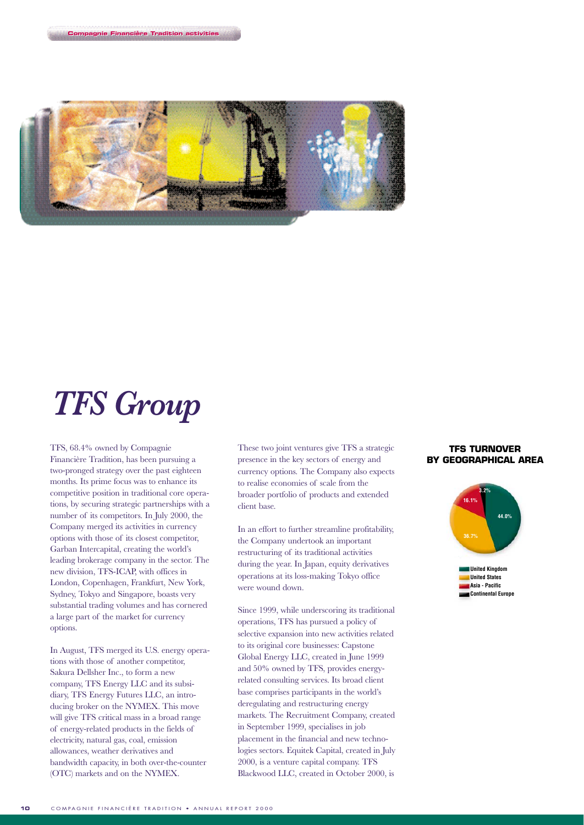

# *TFS Group*

**Compagnie Financi Compagnie Financièère Tradition activities**

TFS, 68.4% owned by Compagnie Financière Tradition, has been pursuing a two-pronged strategy over the past eighteen months. Its prime focus was to enhance its competitive position in traditional core operations, by securing strategic partnerships with a number of its competitors. In July 2000, the Company merged its activities in currency options with those of its closest competitor, Garban Intercapital, creating the world's leading brokerage company in the sector. The new division, TFS-ICAP, with offices in London, Copenhagen, Frankfurt, New York, Sydney, Tokyo and Singapore, boasts very substantial trading volumes and has cornered a large part of the market for currency options.

In August, TFS merged its U.S. energy operations with those of another competitor, Sakura Dellsher Inc., to form a new company, TFS Energy LLC and its subsidiary, TFS Energy Futures LLC, an introducing broker on the NYMEX. This move will give TFS critical mass in a broad range of energy-related products in the fields of electricity, natural gas, coal, emission allowances, weather derivatives and bandwidth capacity, in both over-the-counter (OTC) markets and on the NYMEX.

These two joint ventures give TFS a strategic presence in the key sectors of energy and currency options. The Company also expects to realise economies of scale from the broader portfolio of products and extended client base.

In an effort to further streamline profitability, the Company undertook an important restructuring of its traditional activities during the year. In Japan, equity derivatives operations at its loss-making Tokyo office were wound down.

Since 1999, while underscoring its traditional operations, TFS has pursued a policy of selective expansion into new activities related to its original core businesses: Capstone Global Energy LLC, created in June 1999 and 50% owned by TFS, provides energyrelated consulting services. Its broad client base comprises participants in the world's deregulating and restructuring energy markets. The Recruitment Company, created in September 1999, specialises in job placement in the financial and new technologies sectors. Equitek Capital, created in July 2000, is a venture capital company. TFS Blackwood LLC, created in October 2000, is

#### **TFS TURNOVER BY GEOGRAPHICAL AREA**



**Continental Europe Asia - Pacific**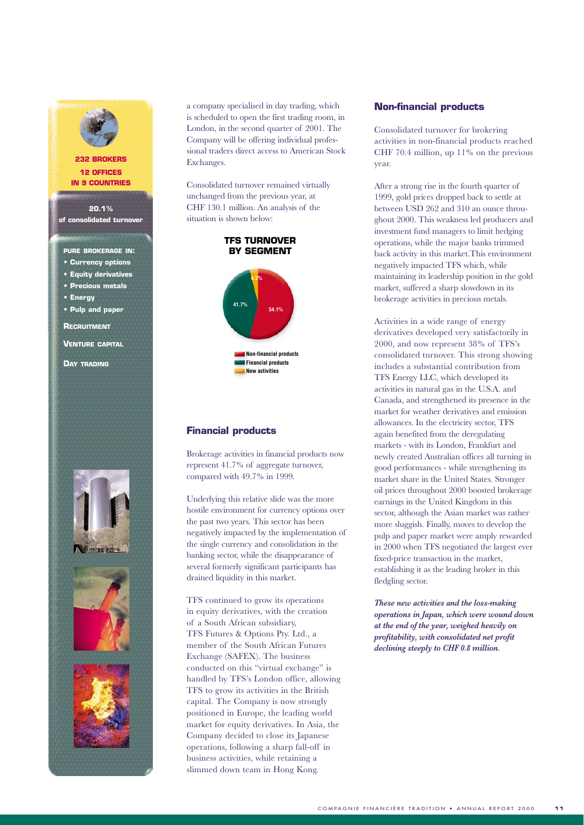

#### **232 BROKERS 12 OFFICES IN 9 COUNTRIES**

**20.1% of consolidated turnover**

**PURE BROKERAGE IN:**

- **Currency options**
- **Equity derivatives**
- **Precious metals**
- **Energy**

**• Pulp and paper**

**RECRUITMENT**

**VENTURE CAPITAL**

**DAY TRADING**







a company specialised in day trading, which is scheduled to open the first trading room, in London, in the second quarter of 2001. The Company will be offering individual professional traders direct access to American Stock Exchanges.

Consolidated turnover remained virtually unchanged from the previous year, at CHF 130.1 million. An analysis of the situation is shown below:



#### **Financial products**

Brokerage activities in financial products now represent 41.7% of aggregate turnover, compared with 49.7% in 1999.

Underlying this relative slide was the more hostile environment for currency options over the past two years. This sector has been negatively impacted by the implementation of the single currency and consolidation in the banking sector, while the disappearance of several formerly significant participants has drained liquidity in this market.

TFS continued to grow its operations in equity derivatives, with the creation of a South African subsidiary, TFS Futures & Options Pty. Ltd., a member of the South African Futures Exchange (SAFEX). The business conducted on this "virtual exchange" is handled by TFS's London office, allowing TFS to grow its activities in the British capital. The Company is now strongly positioned in Europe, the leading world market for equity derivatives. In Asia, the Company decided to close its Japanese operations, following a sharp fall-off in business activities, while retaining a slimmed down team in Hong Kong.

#### **Non-financial products**

Consolidated turnover for brokering activities in non-financial products reached CHF 70.4 million, up 11% on the previous year.

After a strong rise in the fourth quarter of 1999, gold prices dropped back to settle at between USD 262 and 310 an ounce throughout 2000. This weakness led producers and investment fund managers to limit hedging operations, while the major banks trimmed back activity in this market.This environment negatively impacted TFS which, while maintaining its leadership position in the gold market, suffered a sharp slowdown in its brokerage activities in precious metals.

Activities in a wide range of energy derivatives developed very satisfactorily in 2000, and now represent 38% of TFS's consolidated turnover. This strong showing includes a substantial contribution from TFS Energy LLC, which developed its activities in natural gas in the U.S.A. and Canada, and strengthened its presence in the market for weather derivatives and emission allowances. In the electricity sector, TFS again benefited from the deregulating markets - with its London, Frankfurt and newly created Australian offices all turning in good performances - while strengthening its market share in the United States. Stronger oil prices throughout 2000 boosted brokerage earnings in the United Kingdom in this sector, although the Asian market was rather more sluggish. Finally, moves to develop the pulp and paper market were amply rewarded in 2000 when TFS negotiated the largest ever fixed-price transaction in the market, establishing it as the leading broker in this fledgling sector.

*These new activities and the loss-making operations in Japan, which were wound down at the end of the year, weighed heavily on profitability, with consolidated net profit declining steeply to CHF 0.8 million.*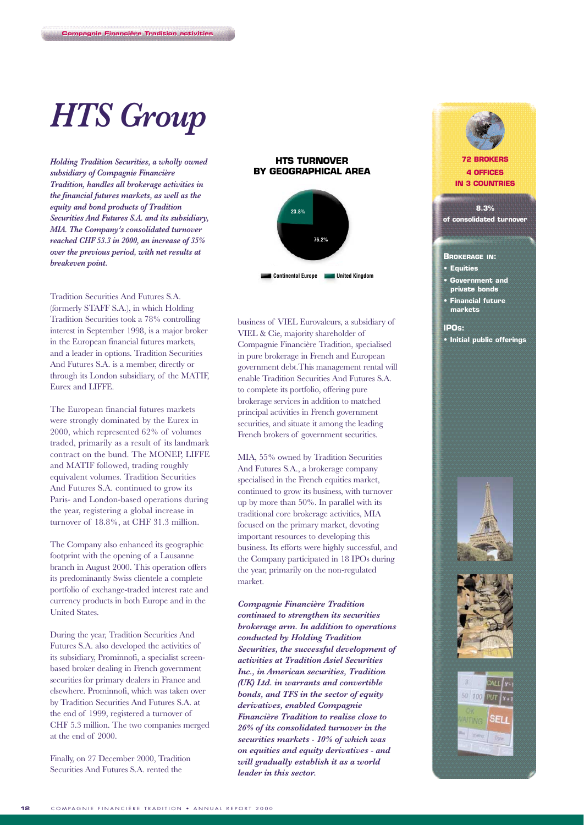# *HTS Group*

**Compagnie Financière Tradition activities** 

*Holding Tradition Securities, a wholly owned subsidiary of Compagnie Financière Tradition, handles all brokerage activities in the financial futures markets, as well as the equity and bond products of Tradition Securities And Futures S.A. and its subsidiary, MIA. The Company's consolidated turnover reached CHF 53.3 in 2000, an increase of 35% over the previous period, with net results at breakeven point.*

Tradition Securities And Futures S.A. (formerly STAFF S.A.), in which Holding Tradition Securities took a 78% controlling interest in September 1998, is a major broker in the European financial futures markets, and a leader in options. Tradition Securities And Futures S.A. is a member, directly or through its London subsidiary, of the MATIF, Eurex and LIFFE.

The European financial futures markets were strongly dominated by the Eurex in 2000, which represented 62% of volumes traded, primarily as a result of its landmark contract on the bund. The MONEP, LIFFE and MATIF followed, trading roughly equivalent volumes. Tradition Securities And Futures S.A. continued to grow its Paris- and London-based operations during the year, registering a global increase in turnover of 18.8%, at CHF 31.3 million.

The Company also enhanced its geographic footprint with the opening of a Lausanne branch in August 2000. This operation offers its predominantly Swiss clientele a complete portfolio of exchange-traded interest rate and currency products in both Europe and in the United States.

During the year, Tradition Securities And Futures S.A. also developed the activities of its subsidiary, Prominnofi, a specialist screenbased broker dealing in French government securities for primary dealers in France and elsewhere. Prominnofi, which was taken over by Tradition Securities And Futures S.A. at the end of 1999, registered a turnover of CHF 5.3 million. The two companies merged at the end of 2000.

Finally, on 27 December 2000, Tradition Securities And Futures S.A. rented the

#### **HTS TURNOVER BY GEOGRAPHICAL AREA**



business of VIEL Eurovaleurs, a subsidiary of VIEL & Cie, majority shareholder of Compagnie Financière Tradition, specialised in pure brokerage in French and European government debt.This management rental will enable Tradition Securities And Futures S.A. to complete its portfolio, offering pure brokerage services in addition to matched principal activities in French government securities, and situate it among the leading French brokers of government securities.

MIA, 55% owned by Tradition Securities And Futures S.A., a brokerage company specialised in the French equities market, continued to grow its business, with turnover up by more than 50%. In parallel with its traditional core brokerage activities, MIA focused on the primary market, devoting important resources to developing this business. Its efforts were highly successful, and the Company participated in 18 IPOs during the year, primarily on the non-regulated market.

*Compagnie Financière Tradition continued to strengthen its securities brokerage arm. In addition to operations conducted by Holding Tradition Securities, the successful development of activities at Tradition Asiel Securities Inc., in American securities, Tradition (UK) Ltd. in warrants and convertible bonds, and TFS in the sector of equity derivatives, enabled Compagnie Financière Tradition to realise close to 26% of its consolidated turnover in the securities markets - 10% of which was on equities and equity derivatives - and will gradually establish it as a world leader in this sector.*







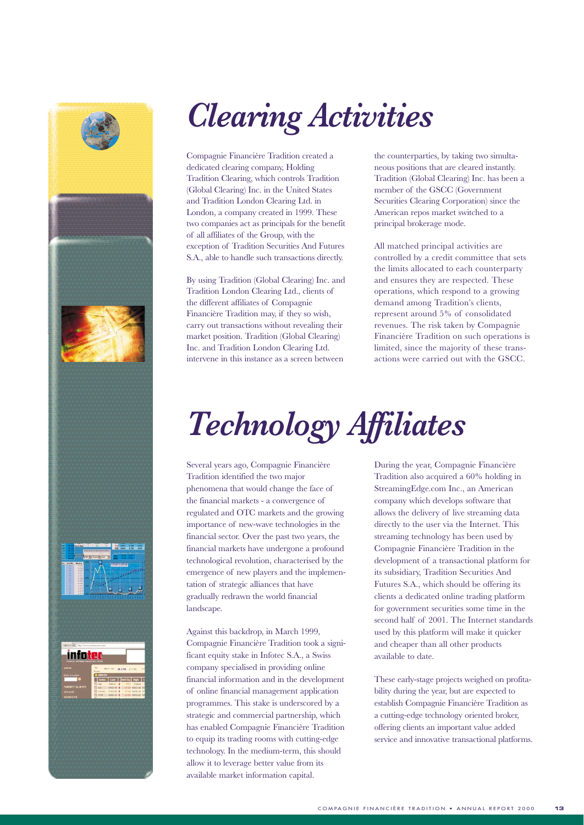

# *Clearing Activities*

Compagnie Financière Tradition created a dedicated clearing company, Holding Tradition Clearing, which controls Tradition (Global Clearing) Inc. in the United States and Tradition London Clearing Ltd. in London, a company created in 1999. These two companies act as principals for the benefit of all affiliates of the Group, with the exception of Tradition Securities And Futures S.A., able to handle such transactions directly.

By using Tradition (Global Clearing) Inc. and Tradition London Clearing Ltd., clients of the different affiliates of Compagnie Financière Tradition may, if they so wish, carry out transactions without revealing their market position. Tradition (Global Clearing) Inc. and Tradition London Clearing Ltd. intervene in this instance as a screen between

the counterparties, by taking two simultaneous positions that are cleared instantly. Tradition (Global Clearing) Inc. has been a member of the GSCC (Government Securities Clearing Corporation) since the American repos market switched to a principal brokerage mode.

All matched principal activities are controlled by a credit committee that sets the limits allocated to each counterparty and ensures they are respected. These operations, which respond to a growing demand among Tradition's clients, represent around 5% of consolidated revenues. The risk taken by Compagnie Financière Tradition on such operations is limited, since the majority of these transactions were carried out with the GSCC.

# *Technology Affiliates*

Several years ago, Compagnie Financière Tradition identified the two major phenomena that would change the face of the financial markets - a convergence of regulated and OTC markets and the growing importance of new-wave technologies in the financial sector. Over the past two years, the financial markets have undergone a profound technological revolution, characterised by the emergence of new players and the implementation of strategic alliances that have gradually redrawn the world financial landscape.

Against this backdrop, in March 1999, Compagnie Financière Tradition took a significant equity stake in Infotec S.A., a Swiss company specialised in providing online financial information and in the development of online financial management application programmes. This stake is underscored by a strategic and commercial partnership, which has enabled Compagnie Financière Tradition to equip its trading rooms with cutting-edge technology. In the medium-term, this should allow it to leverage better value from its available market information capital.

During the year, Compagnie Financière Tradition also acquired a 60% holding in StreamingEdge.com Inc., an American company which develops software that allows the delivery of live streaming data directly to the user via the Internet. This streaming technology has been used by Compagnie Financière Tradition in the development of a transactional platform for its subsidiary, Tradition Securities And Futures S.A., which should be offering its clients a dedicated online trading platform for government securities some time in the second half of 2001. The Internet standards used by this platform will make it quicker and cheaper than all other products available to date.

These early-stage projects weighed on profitability during the year, but are expected to establish Compagnie Financière Tradition as a cutting-edge technology oriented broker, offering clients an important value added service and innovative transactional platforms.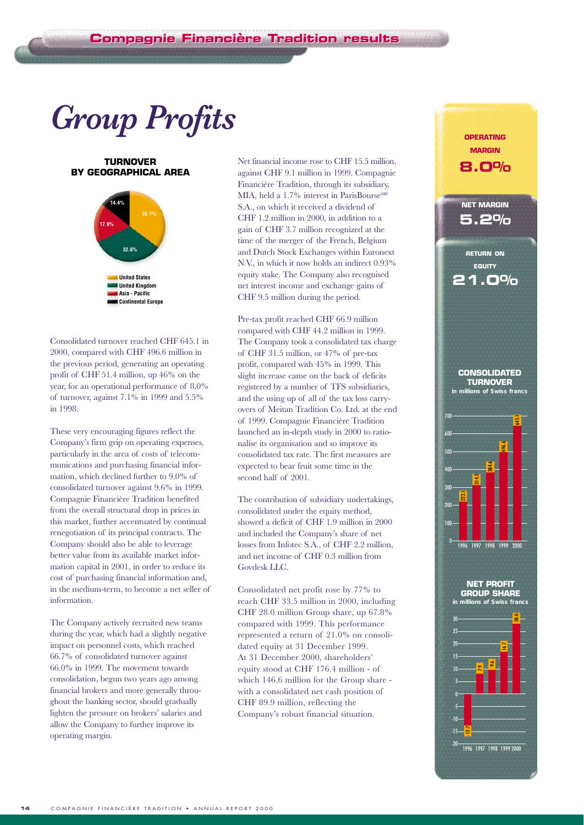# *Group Profits*

#### **TURNOVER BY GEOGRAPHICAL AREA**



Consolidated turnover reached CHF 645.1 in 2000, compared with CHF 496.6 million in the previous period, generating an operating profit of CHF 51.4 million, up 46% on the year, for an operational performance of 8.0% of turnover, against 7.1% in 1999 and 5.5% in 1998.

These very encouraging figures reflect the Company's firm grip on operating expenses, particularly in the area of costs of telecommunications and purchasing financial information, which declined further to 9.0% of consolidated turnover against 9.6% in 1999. Compagnie Financière Tradition benefited from the overall structural drop in prices in this market, further accentuated by continual renegotiation of its principal contracts. The Company should also be able to leverage better value from its available market information capital in 2001, in order to reduce its cost of purchasing financial information and, in the medium-term, to become a net seller of information.

The Company actively recruited new teams during the year, which had a slightly negative impact on personnel costs, which reached 66.7% of consolidated turnover against 66.0% in 1999. The movement towards consolidation, begun two years ago among financial brokers and more generally throughout the banking sector, should gradually lighten the pressure on brokers' salaries and allow the Company to further improve its operating margin.

Net financial income rose to CHF 15.5 million, against CHF 9.1 million in 1999. Compagnie Financière Tradition, through its subsidiary, MIA, held a 1.7% interest in ParisBourse<sup>SBF</sup> S.A., on which it received a dividend of CHF 1.2 million in 2000, in addition to a gain of CHF 3.7 million recognized at the time of the merger of the French, Belgium and Dutch Stock Exchanges within Euronext N.V., in which it now holds an indirect 0.93% equity stake. The Company also recognised net interest income and exchange gains of CHF 9.5 million during the period.

Pre-tax profit reached CHF 66.9 million compared with CHF 44.2 million in 1999. The Company took a consolidated tax charge of CHF 31.5 million, or 47% of pre-tax profit, compared with 45% in 1999. This slight increase came on the back of deficits registered by a number of TFS subsidiaries, and the using up of all of the tax loss carryovers of Meitan Tradition Co. Ltd. at the end of 1999. Compagnie Financière Tradition launched an in-depth study in 2000 to rationalise its organisation and so improve its consolidated tax rate. The first measures are expected to bear fruit some time in the second half of 2001.

The contribution of subsidiary undertakings, consolidated under the equity method, showed a deficit of CHF 1.9 million in 2000 and included the Company's share of net losses from Infotec S.A., of CHF 2.2 million, and net income of CHF 0.3 million from Govdesk LLC.

Consolidated net profit rose by 77% to reach CHF 33.5 million in 2000, including CHF 28.0 million Group share, up 67.8% compared with 1999. This performance represented a return of 21.0% on consolidated equity at 31 December 1999. At 31 December 2000, shareholders' equity stood at CHF 176.4 million - of which 146.6 million for the Group share with a consolidated net cash position of CHF 89.9 million, reflecting the Company's robust financial situation.



**OPERATING MARGIN 8.0%**

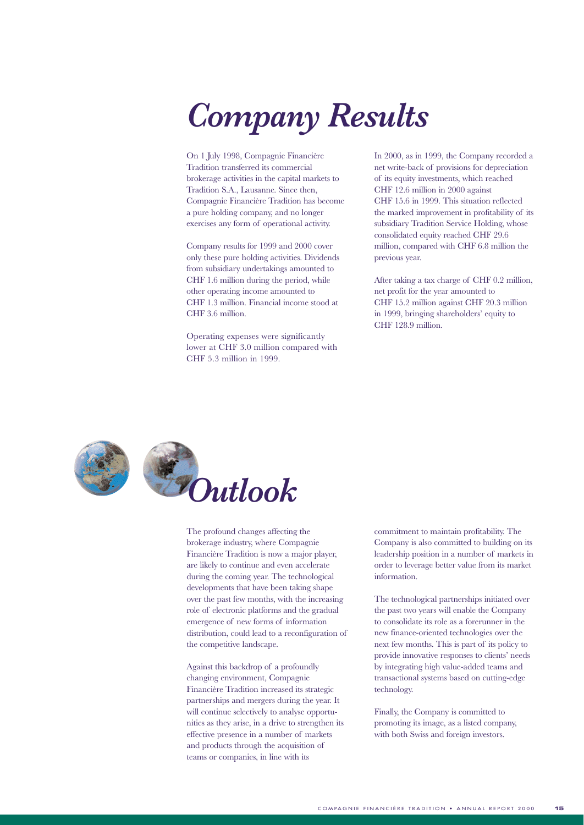# *Company Results*

On 1 July 1998, Compagnie Financière Tradition transferred its commercial brokerage activities in the capital markets to Tradition S.A., Lausanne. Since then, Compagnie Financière Tradition has become a pure holding company, and no longer exercises any form of operational activity.

Company results for 1999 and 2000 cover only these pure holding activities. Dividends from subsidiary undertakings amounted to CHF 1.6 million during the period, while other operating income amounted to CHF 1.3 million. Financial income stood at CHF 3.6 million.

Operating expenses were significantly lower at CHF 3.0 million compared with CHF 5.3 million in 1999.

In 2000, as in 1999, the Company recorded a net write-back of provisions for depreciation of its equity investments, which reached CHF 12.6 million in 2000 against CHF 15.6 in 1999. This situation reflected the marked improvement in profitability of its subsidiary Tradition Service Holding, whose consolidated equity reached CHF 29.6 million, compared with CHF 6.8 million the previous year.

After taking a tax charge of CHF 0.2 million, net profit for the year amounted to CHF 15.2 million against CHF 20.3 million in 1999, bringing shareholders' equity to CHF 128.9 million.





The profound changes affecting the brokerage industry, where Compagnie Financière Tradition is now a major player, are likely to continue and even accelerate during the coming year. The technological developments that have been taking shape over the past few months, with the increasing role of electronic platforms and the gradual emergence of new forms of information distribution, could lead to a reconfiguration of the competitive landscape.

Against this backdrop of a profoundly changing environment, Compagnie Financière Tradition increased its strategic partnerships and mergers during the year. It will continue selectively to analyse opportunities as they arise, in a drive to strengthen its effective presence in a number of markets and products through the acquisition of teams or companies, in line with its

commitment to maintain profitability. The Company is also committed to building on its leadership position in a number of markets in order to leverage better value from its market information.

The technological partnerships initiated over the past two years will enable the Company to consolidate its role as a forerunner in the new finance-oriented technologies over the next few months. This is part of its policy to provide innovative responses to clients' needs by integrating high value-added teams and transactional systems based on cutting-edge technology.

Finally, the Company is committed to promoting its image, as a listed company, with both Swiss and foreign investors.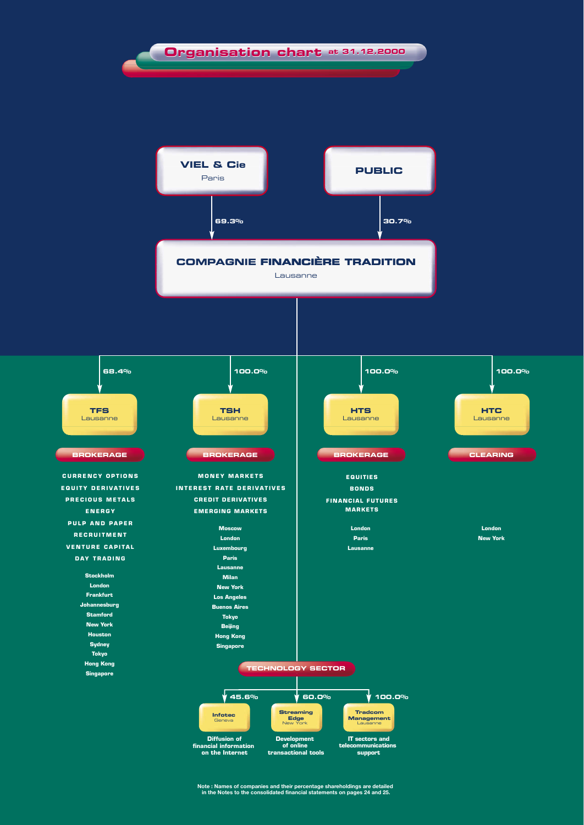

**Note : Names of companies and their percentage shareholdings are detailed in the Notes to the consolidated financial statements on pages 24 and 25.**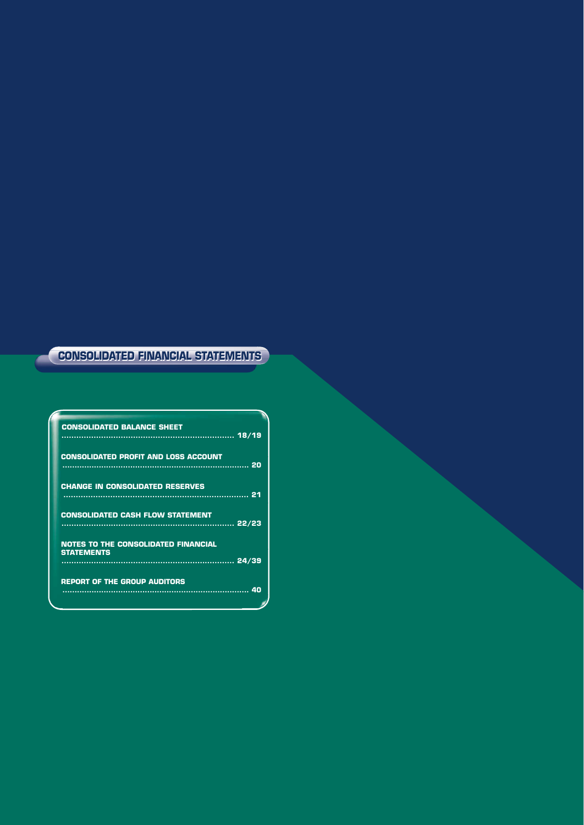#### **CONSOLIDATED FINANCIAL STATEMENTS CONSOLIDATED FINANCIAL STATEMENTS**

| <b>CONSOLIDATED BALANCE SHEET</b>           |  |
|---------------------------------------------|--|
|                                             |  |
|                                             |  |
| <b>CONSOLIDATED PROFIT AND LOSS ACCOUNT</b> |  |
|                                             |  |
|                                             |  |
| <b>CHANGE IN CONSOLIDATED RESERVES</b>      |  |
|                                             |  |
|                                             |  |
|                                             |  |
| <b>CONSOLIDATED CASH FLOW STATEMENT</b>     |  |
|                                             |  |
|                                             |  |
| <b>NOTES TO THE CONSOLIDATED FINANCIAL</b>  |  |
| <b>STATEMENTS</b>                           |  |
|                                             |  |
|                                             |  |
| <b>REPORT OF THE GROUP AUDITORS</b>         |  |
|                                             |  |
|                                             |  |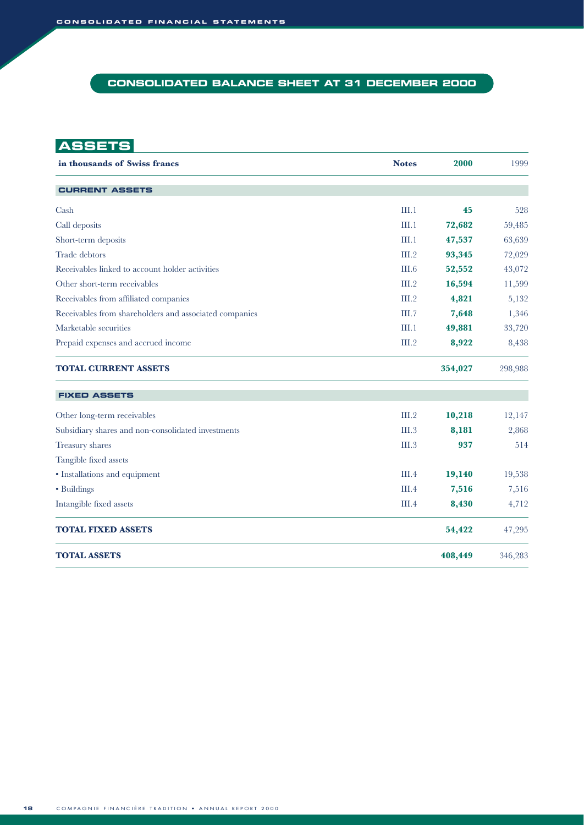#### **CONSOLIDATED BALANCE SHEET AT 31 DECEMBER 2000**

**ASSETS**

| in thousands of Swiss francs                           | <b>Notes</b> | 2000    | 1999    |
|--------------------------------------------------------|--------------|---------|---------|
| <b>CURRENT ASSETS</b>                                  |              |         |         |
| Cash                                                   | III.1        | 45      | 528     |
| Call deposits                                          | III.1        | 72,682  | 59,485  |
| Short-term deposits                                    | III.1        | 47,537  | 63,639  |
| Trade debtors                                          | III.2        | 93,345  | 72,029  |
| Receivables linked to account holder activities        | III.6        | 52,552  | 43,072  |
| Other short-term receivables                           | III.2        | 16,594  | 11,599  |
| Receivables from affiliated companies                  | III.2        | 4,821   | 5,132   |
| Receivables from shareholders and associated companies | III.7        | 7,648   | 1,346   |
| Marketable securities                                  | III.1        | 49,881  | 33,720  |
| Prepaid expenses and accrued income                    | III.2        | 8,922   | 8,438   |
| <b>TOTAL CURRENT ASSETS</b>                            |              | 354,027 | 298,988 |
| <b>FIXED ASSETS</b>                                    |              |         |         |
| Other long-term receivables                            | III.2        | 10,218  | 12,147  |
| Subsidiary shares and non-consolidated investments     | III.3        | 8,181   | 2,868   |
| Treasury shares                                        | III.3        | 937     | 514     |
| Tangible fixed assets                                  |              |         |         |
| • Installations and equipment                          | III.4        | 19,140  | 19,538  |
| • Buildings                                            | III.4        | 7,516   | 7,516   |
| Intangible fixed assets                                | III.4        | 8,430   | 4,712   |
| <b>TOTAL FIXED ASSETS</b>                              |              | 54,422  | 47,295  |
| <b>TOTAL ASSETS</b>                                    |              | 408,449 | 346,283 |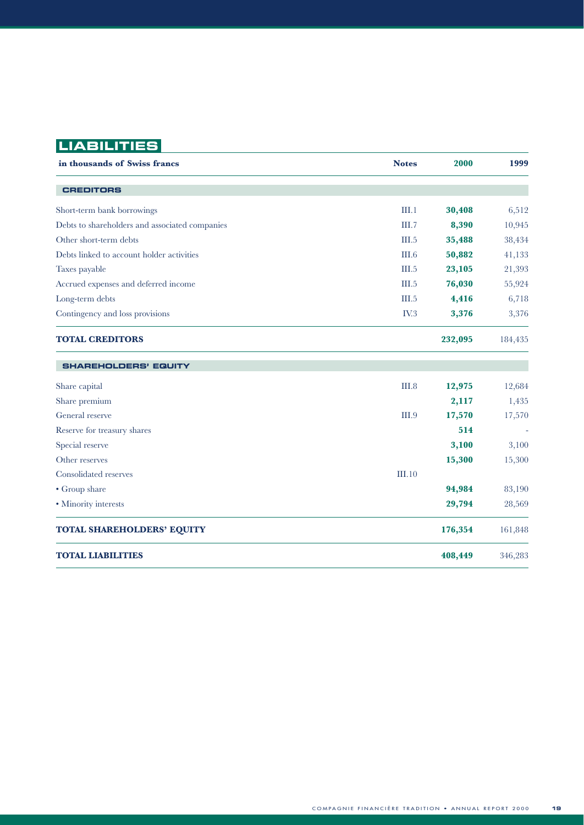# **LIABILITIES**

| in thousands of Swiss francs                   | <b>Notes</b> | 2000    | 1999    |
|------------------------------------------------|--------------|---------|---------|
| <b>CREDITORS</b>                               |              |         |         |
| Short-term bank borrowings                     | III.1        | 30,408  | 6,512   |
| Debts to shareholders and associated companies | III.7        | 8,390   | 10,945  |
| Other short-term debts                         | III.5        | 35,488  | 38,434  |
| Debts linked to account holder activities      | III.6        | 50,882  | 41,133  |
| Taxes payable                                  | III.5        | 23,105  | 21,393  |
| Accrued expenses and deferred income           | III.5        | 76,030  | 55,924  |
| Long-term debts                                | III.5        | 4,416   | 6,718   |
| Contingency and loss provisions                | IV.3         | 3,376   | 3,376   |
| <b>TOTAL CREDITORS</b>                         |              | 232,095 | 184,435 |
| <b>SHAREHOLDERS' EQUITY</b>                    |              |         |         |
| Share capital                                  | III.8        | 12,975  | 12,684  |
| Share premium                                  |              | 2,117   | 1,435   |
| General reserve                                | III.9        | 17,570  | 17,570  |
| Reserve for treasury shares                    |              | 514     |         |
| Special reserve                                |              | 3,100   | 3,100   |
| Other reserves                                 |              | 15,300  | 15,300  |
| Consolidated reserves                          | III.10       |         |         |
| • Group share                                  |              | 94,984  | 83,190  |
| • Minority interests                           |              | 29,794  | 28,569  |
| <b>TOTAL SHAREHOLDERS' EQUITY</b>              |              | 176,354 | 161,848 |
| <b>TOTAL LIABILITIES</b>                       |              | 408,449 | 346,283 |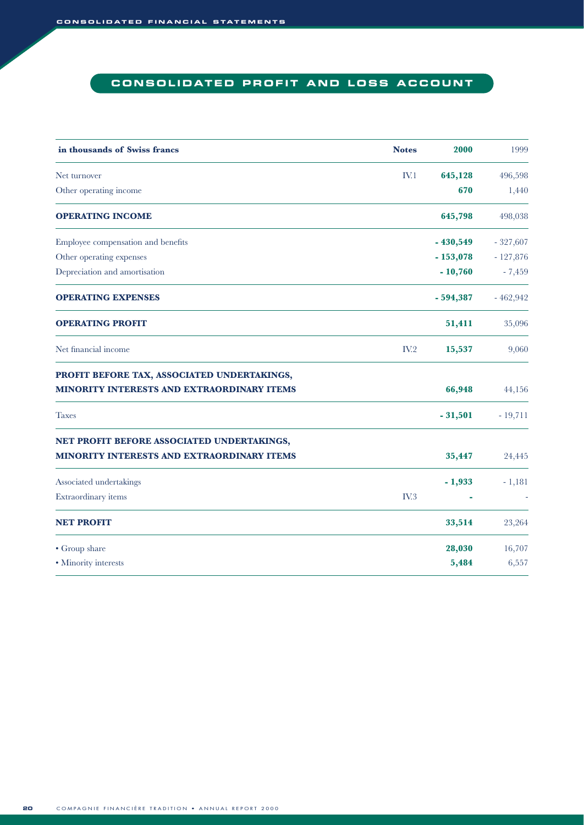### **CONSOLIDATED PROFIT AND LOSS ACCOUNT**

| in thousands of Swiss francs                      | <b>Notes</b> | 2000       | 1999       |
|---------------------------------------------------|--------------|------------|------------|
| Net turnover                                      | IV.1         | 645,128    | 496,598    |
| Other operating income                            |              | 670        | 1,440      |
| <b>OPERATING INCOME</b>                           |              | 645,798    | 498,038    |
| Employee compensation and benefits                |              | $-430,549$ | $-327,607$ |
| Other operating expenses                          |              | $-153,078$ | $-127,876$ |
| Depreciation and amortisation                     |              | $-10,760$  | $-7,459$   |
| <b>OPERATING EXPENSES</b>                         |              | $-594,387$ | $-462,942$ |
| <b>OPERATING PROFIT</b>                           |              | 51,411     | 35,096     |
| Net financial income                              | IV.2         | 15,537     | 9,060      |
| PROFIT BEFORE TAX, ASSOCIATED UNDERTAKINGS,       |              |            |            |
| <b>MINORITY INTERESTS AND EXTRAORDINARY ITEMS</b> |              | 66,948     | 44,156     |
| <b>Taxes</b>                                      |              | $-31,501$  | $-19,711$  |
| NET PROFIT BEFORE ASSOCIATED UNDERTAKINGS,        |              |            |            |
| MINORITY INTERESTS AND EXTRAORDINARY ITEMS        |              | 35,447     | 24,445     |
| Associated undertakings                           |              | $-1,933$   | $-1,181$   |
| Extraordinary items                               | IV.3         |            |            |
| <b>NET PROFIT</b>                                 |              | 33,514     | 23,264     |
| • Group share                                     |              | 28,030     | 16,707     |
| • Minority interests                              |              | 5,484      | 6,557      |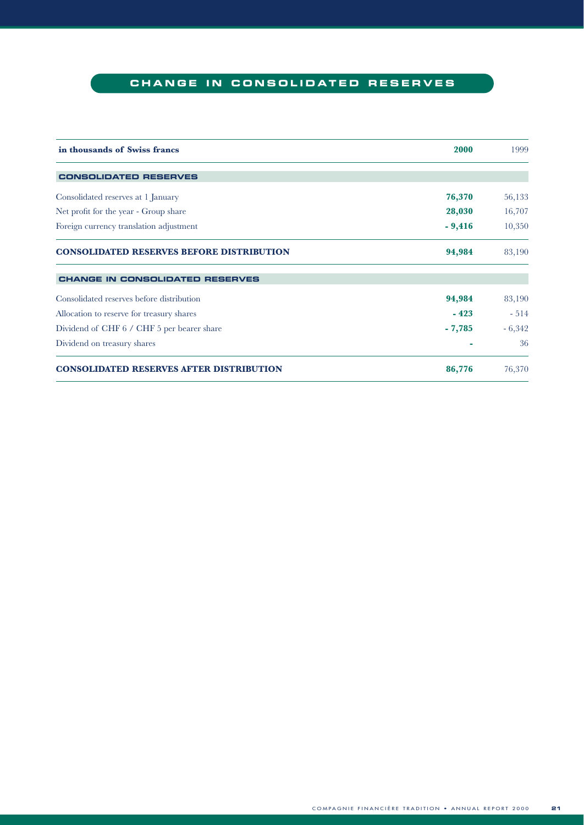### **CHANGE IN CONSOLIDATED RESERVES**

| in thousands of Swiss francs                     | 2000     | 1999     |
|--------------------------------------------------|----------|----------|
| <b>CONSOLIDATED RESERVES</b>                     |          |          |
| Consolidated reserves at 1 January               | 76,370   | 56,133   |
| Net profit for the year - Group share            | 28,030   | 16,707   |
| Foreign currency translation adjustment          | $-9,416$ | 10,350   |
| <b>CONSOLIDATED RESERVES BEFORE DISTRIBUTION</b> | 94,984   | 83,190   |
| <b>CHANGE IN CONSOLIDATED RESERVES</b>           |          |          |
| Consolidated reserves before distribution        | 94,984   | 83,190   |
| Allocation to reserve for treasury shares        | $-423$   | $-514$   |
| Dividend of CHF 6 / CHF 5 per bearer share       | $-7,785$ | $-6,342$ |
| Dividend on treasury shares                      |          | 36       |
| <b>CONSOLIDATED RESERVES AFTER DISTRIBUTION</b>  | 86,776   | 76,370   |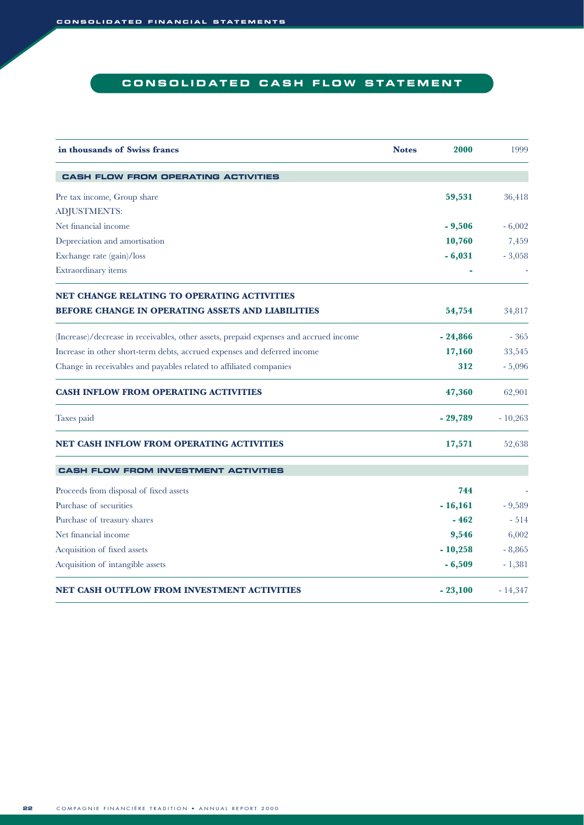### **CONSOLIDATED CASH FLOW STATEMENT**

| in thousands of Swiss francs                                                          | <b>Notes</b> | 2000      | 1999      |
|---------------------------------------------------------------------------------------|--------------|-----------|-----------|
| <b>CASH FLOW FROM OPERATING ACTIVITIES</b>                                            |              |           |           |
| Pre tax income, Group share                                                           |              | 59,531    | 36,418    |
| ADJUSTMENTS:                                                                          |              |           |           |
| Net financial income                                                                  |              | $-9,506$  | $-6,002$  |
| Depreciation and amortisation                                                         |              | 10,760    | 7,459     |
| Exchange rate (gain)/loss                                                             |              | $-6,031$  | $-3,058$  |
| Extraordinary items                                                                   |              |           |           |
| NET CHANGE RELATING TO OPERATING ACTIVITIES                                           |              |           |           |
| <b>BEFORE CHANGE IN OPERATING ASSETS AND LIABILITIES</b>                              |              | 54,754    | 34,817    |
| (Increase)/decrease in receivables, other assets, prepaid expenses and accrued income |              | $-24,866$ | $-365$    |
| Increase in other short-term debts, accrued expenses and deferred income              |              | 17,160    | 33,545    |
| Change in receivables and payables related to affiliated companies                    |              | 312       | $-5,096$  |
| <b>CASH INFLOW FROM OPERATING ACTIVITIES</b>                                          |              | 47,360    | 62,901    |
| Taxes paid                                                                            |              | $-29,789$ | $-10,263$ |
| NET CASH INFLOW FROM OPERATING ACTIVITIES                                             |              | 17,571    | 52,638    |
| <b>CASH FLOW FROM INVESTMENT ACTIVITIES</b>                                           |              |           |           |
| Proceeds from disposal of fixed assets                                                |              | 744       |           |
| Purchase of securities                                                                |              | $-16,161$ | $-9,589$  |
| Purchase of treasury shares                                                           |              | $-462$    | $-514$    |
| Net financial income                                                                  |              | 9,546     | 6,002     |
| Acquisition of fixed assets                                                           |              | $-10,258$ | $-8,865$  |
| Acquisition of intangible assets                                                      |              | $-6,509$  | $-1,381$  |
| NET CASH OUTFLOW FROM INVESTMENT ACTIVITIES                                           |              | $-23,100$ | $-14,347$ |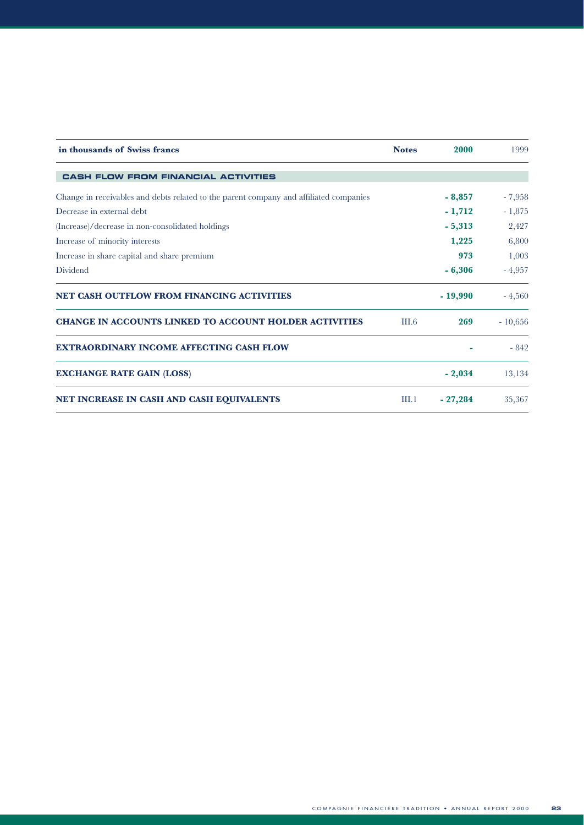| in thousands of Swiss francs                                                           | <b>Notes</b> | 2000      | 1999      |
|----------------------------------------------------------------------------------------|--------------|-----------|-----------|
| <b>CASH FLOW FROM FINANCIAL ACTIVITIES</b>                                             |              |           |           |
| Change in receivables and debts related to the parent company and affiliated companies |              | $-8,857$  | $-7,958$  |
| Decrease in external debt                                                              |              | $-1,712$  | $-1,875$  |
| (Increase)/decrease in non-consolidated holdings                                       |              | $-5,313$  | 2,427     |
| Increase of minority interests                                                         |              | 1,225     | 6,800     |
| Increase in share capital and share premium                                            |              | 973       | 1,003     |
| Dividend                                                                               |              | $-6,306$  | $-4,957$  |
| <b>NET CASH OUTFLOW FROM FINANCING ACTIVITIES</b>                                      |              | $-19,990$ | $-4,560$  |
| <b>CHANGE IN ACCOUNTS LINKED TO ACCOUNT HOLDER ACTIVITIES</b>                          | III.6        | 269       | $-10,656$ |
| <b>EXTRAORDINARY INCOME AFFECTING CASH FLOW</b>                                        |              |           | $-842$    |
| <b>EXCHANGE RATE GAIN (LOSS)</b>                                                       |              | $-2,034$  | 13,134    |
| NET INCREASE IN CASH AND CASH EQUIVALENTS                                              | III.1        | $-27,284$ | 35,367    |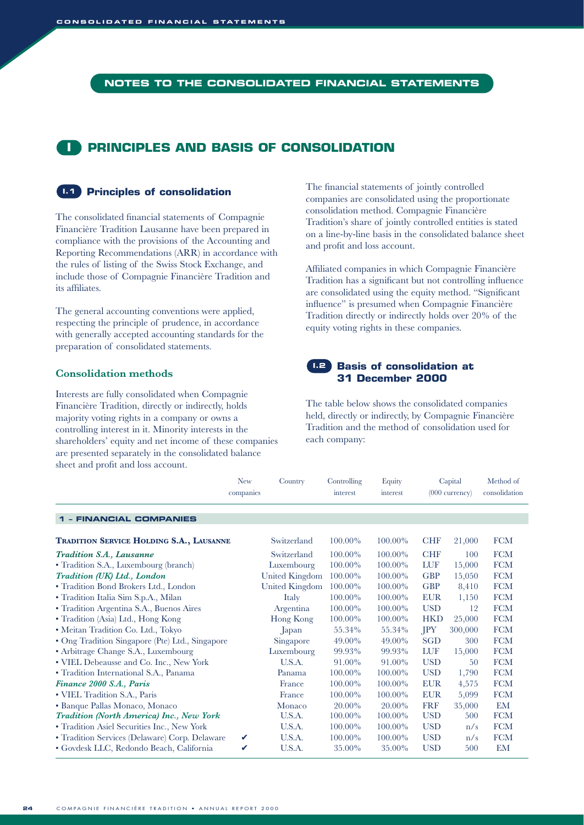#### **NOTES TO THE CONSOLIDATED FINANCIAL STATEMENTS**

### **I PRINCIPLES AND BASIS OF CONSOLIDATION**

#### **Principles of consolidation I.1**

The consolidated financial statements of Compagnie Financière Tradition Lausanne have been prepared in compliance with the provisions of the Accounting and Reporting Recommendations (ARR) in accordance with the rules of listing of the Swiss Stock Exchange, and include those of Compagnie Financière Tradition and its affiliates.

The general accounting conventions were applied, respecting the principle of prudence, in accordance with generally accepted accounting standards for the preparation of consolidated statements.

#### **Consolidation methods**

Interests are fully consolidated when Compagnie Financière Tradition, directly or indirectly, holds majority voting rights in a company or owns a controlling interest in it. Minority interests in the shareholders' equity and net income of these companies are presented separately in the consolidated balance sheet and profit and loss account.

The financial statements of jointly controlled companies are consolidated using the proportionate consolidation method. Compagnie Financière Tradition's share of jointly controlled entities is stated on a line-by-line basis in the consolidated balance sheet and profit and loss account.

Affiliated companies in which Compagnie Financière Tradition has a significant but not controlling influence are consolidated using the equity method. "Significant influence" is presumed when Compagnie Financière Tradition directly or indirectly holds over 20% of the equity voting rights in these companies.

#### **Basis of consolidation at I.2 31 December 2000**

The table below shows the consolidated companies held, directly or indirectly, by Compagnie Financière Tradition and the method of consolidation used for each company:

|                                                 | <b>New</b><br>companies | Country               | Controlling<br>interest | Equity<br>interest |            | Capital<br>$(000 \text{ currency})$ | Method of<br>consolidation |
|-------------------------------------------------|-------------------------|-----------------------|-------------------------|--------------------|------------|-------------------------------------|----------------------------|
| <b>1 - FINANCIAL COMPANIES</b>                  |                         |                       |                         |                    |            |                                     |                            |
| <b>TRADITION SERVICE HOLDING S.A., LAUSANNE</b> |                         | Switzerland           | 100.00%                 | $100.00\%$         | <b>CHF</b> | 21,000                              | <b>FCM</b>                 |
| Tradition S.A., Lausanne                        |                         | Switzerland           | 100.00%                 | $100.00\%$         | <b>CHF</b> | 100                                 | <b>FCM</b>                 |
| • Tradition S.A., Luxembourg (branch)           |                         | Luxembourg            | 100.00%                 | 100.00%            | <b>LUF</b> | 15,000                              | <b>FCM</b>                 |
| Tradition (UK) Ltd., London                     |                         | <b>United Kingdom</b> | 100.00%                 | $100.00\%$         | <b>GBP</b> | 15,050                              | <b>FCM</b>                 |
| • Tradition Bond Brokers Ltd., London           |                         | United Kingdom        | 100.00%                 | 100.00%            | <b>GBP</b> | 8,410                               | <b>FCM</b>                 |
| • Tradition Italia Sim S.p.A., Milan            |                         | Italy                 | 100.00%                 | $100.00\%$         | <b>EUR</b> | 1,150                               | <b>FCM</b>                 |
| • Tradition Argentina S.A., Buenos Aires        |                         | Argentina             | 100.00%                 | 100.00%            | <b>USD</b> | 12                                  | <b>FCM</b>                 |
| • Tradition (Asia) Ltd., Hong Kong              |                         | Hong Kong             | 100.00%                 | 100.00%            | <b>HKD</b> | 25,000                              | <b>FCM</b>                 |
| • Meitan Tradition Co. Ltd., Tokyo              |                         | Japan                 | 55.34%                  | 55.34%             | <b>IPY</b> | 300,000                             | <b>FCM</b>                 |
| • Ong Tradition Singapore (Pte) Ltd., Singapore |                         | Singapore             | 49.00%                  | 49.00%             | <b>SGD</b> | 300                                 | <b>FCM</b>                 |
| • Arbitrage Change S.A., Luxembourg             |                         | Luxembourg            | 99.93%                  | 99.93%             | <b>LUF</b> | 15,000                              | <b>FCM</b>                 |
| • VIEL Debeausse and Co. Inc., New York         |                         | U.S.A.                | 91.00%                  | 91.00%             | <b>USD</b> | 50                                  | <b>FCM</b>                 |
| · Tradition International S.A., Panama          |                         | Panama                | 100.00%                 | $100.00\%$         | <b>USD</b> | 1,790                               | <b>FCM</b>                 |
| Finance 2000 S.A., Paris                        |                         | France                | 100.00%                 | $100.00\%$         | <b>EUR</b> | 4,575                               | <b>FCM</b>                 |
| • VIEL Tradition S.A., Paris                    |                         | France                | 100.00%                 | 100.00%            | <b>EUR</b> | 5,099                               | <b>FCM</b>                 |
| • Banque Pallas Monaco, Monaco                  |                         | Monaco                | $20.00\%$               | 20.00%             | <b>FRF</b> | 35,000                              | EM                         |
| Tradition (North America) Inc., New York        |                         | U.S.A.                | 100.00%                 | 100.00%            | <b>USD</b> | 500                                 | <b>FCM</b>                 |
| • Tradition Asiel Securities Inc., New York     |                         | U.S.A.                | 100.00%                 | 100.00%            | <b>USD</b> | n/s                                 | <b>FCM</b>                 |
| • Tradition Services (Delaware) Corp. Delaware  | V                       | U.S.A.                | 100.00%                 | 100.00%            | <b>USD</b> | n/s                                 | <b>FCM</b>                 |
| • Govdesk LLC, Redondo Beach, California        | ✓                       | U.S.A.                | 35.00%                  | 35.00%             | <b>USD</b> | 500                                 | EM                         |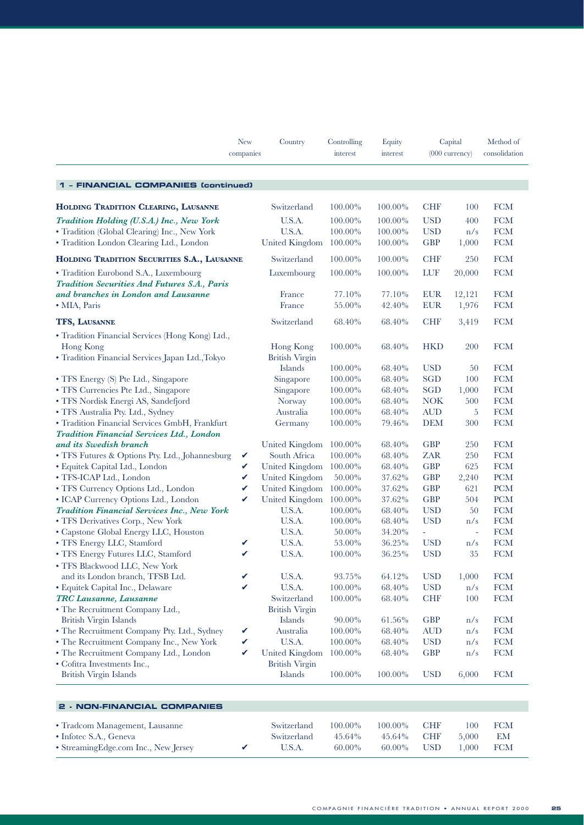|                                                                     | <b>New</b><br>companies | Country                          | Controlling<br>interest | Equity<br>interest |            | Capital<br>$(000 \text{ currency})$ | Method of<br>consolidation |
|---------------------------------------------------------------------|-------------------------|----------------------------------|-------------------------|--------------------|------------|-------------------------------------|----------------------------|
| 1 - FINANCIAL COMPANIES (continued)                                 |                         |                                  |                         |                    |            |                                     |                            |
| HOLDING TRADITION CLEARING, LAUSANNE                                |                         | Switzerland                      | 100.00%                 | 100.00%            | <b>CHF</b> | 100                                 | <b>FCM</b>                 |
| Tradition Holding (U.S.A.) Inc., New York                           |                         | U.S.A.                           | 100.00%                 | 100.00%            | <b>USD</b> | 400                                 | <b>FCM</b>                 |
| • Tradition (Global Clearing) Inc., New York                        |                         | U.S.A.                           | 100.00%                 | 100.00%            | <b>USD</b> | n/s                                 | <b>FCM</b>                 |
| • Tradition London Clearing Ltd., London                            |                         | <b>United Kingdom</b>            | 100.00%                 | 100.00%            | <b>GBP</b> | 1,000                               | <b>FCM</b>                 |
| HOLDING TRADITION SECURITIES S.A., LAUSANNE                         |                         | Switzerland                      | 100.00%                 | 100.00%            | <b>CHF</b> | 250                                 | <b>FCM</b>                 |
| · Tradition Eurobond S.A., Luxembourg                               |                         | Luxembourg                       | 100.00%                 | 100.00%            | LUF        | 20,000                              | <b>FCM</b>                 |
| Tradition Securities And Futures S.A., Paris                        |                         |                                  |                         |                    |            |                                     |                            |
| and branches in London and Lausanne                                 |                         | France                           | 77.10%                  | 77.10%             | <b>EUR</b> | 12,121                              | <b>FCM</b>                 |
| • MIA, Paris                                                        |                         | France                           | 55.00%                  | 42.40%             | <b>EUR</b> | 1,976                               | <b>FCM</b>                 |
| TFS, LAUSANNE                                                       |                         | Switzerland                      | 68.40%                  | 68.40%             | <b>CHF</b> | 3,419                               | <b>FCM</b>                 |
| • Tradition Financial Services (Hong Kong) Ltd.,                    |                         |                                  |                         |                    |            |                                     |                            |
| Hong Kong                                                           |                         | <b>Hong Kong</b>                 | 100.00%                 | 68.40%             | <b>HKD</b> | 200                                 | <b>FCM</b>                 |
| · Tradition Financial Services Japan Ltd., Tokyo                    |                         | <b>British Virgin</b>            |                         |                    |            |                                     |                            |
|                                                                     |                         | Islands                          | 100.00%                 | 68.40%             | <b>USD</b> | 50                                  | <b>FCM</b>                 |
| • TFS Energy (S) Pte Ltd., Singapore                                |                         | Singapore                        | 100.00%                 | 68.40%             | <b>SGD</b> | 100                                 | <b>FCM</b>                 |
| • TFS Currencies Pte Ltd., Singapore                                |                         | Singapore                        | 100.00%                 | 68.40%             | <b>SGD</b> | 1,000                               | <b>FCM</b>                 |
| • TFS Nordisk Energi AS, Sandefjord                                 |                         | Norway                           | 100.00%                 | 68.40%             | <b>NOK</b> | 500                                 | <b>FCM</b>                 |
| • TFS Australia Pty. Ltd., Sydney                                   |                         | Australia                        | 100.00%                 | 68.40%             | <b>AUD</b> | 5                                   | <b>FCM</b>                 |
| · Tradition Financial Services GmbH, Frankfurt                      |                         | Germany                          | 100.00%                 | 79.46%             | <b>DEM</b> | 300                                 | <b>FCM</b>                 |
| Tradition Financial Services Ltd., London<br>and its Swedish branch |                         | United Kingdom                   | 100.00%                 | 68.40%             | <b>GBP</b> | 250                                 | <b>FCM</b>                 |
| • TFS Futures & Options Pty. Ltd., Johannesburg                     | V                       | South Africa                     | 100.00%                 | 68.40%             | <b>ZAR</b> | 250                                 | <b>FCM</b>                 |
| · Equitek Capital Ltd., London                                      | V                       | United Kingdom                   | 100.00%                 | 68.40%             | <b>GBP</b> | 625                                 | <b>FCM</b>                 |
| · TFS-ICAP Ltd., London                                             | V                       | United Kingdom                   | 50.00%                  | 37.62%             | <b>GBP</b> | 2,240                               | <b>PCM</b>                 |
| • TFS Currency Options Ltd., London                                 | V                       | <b>United Kingdom</b>            | 100.00%                 | 37.62%             | <b>GBP</b> | 621                                 | <b>PCM</b>                 |
| • ICAP Currency Options Ltd., London                                | V                       | <b>United Kingdom</b>            | 100.00%                 | 37.62%             | <b>GBP</b> | 504                                 | <b>PCM</b>                 |
| Tradition Financial Services Inc., New York                         |                         | U.S.A.                           | 100.00%                 | 68.40%             | <b>USD</b> | 50                                  | <b>FCM</b>                 |
| • TFS Derivatives Corp., New York                                   |                         | U.S.A.                           | 100.00%                 | 68.40%             | <b>USD</b> | n/s                                 | <b>FCM</b>                 |
| • Capstone Global Energy LLC, Houston                               |                         | U.S.A.                           | 50.00%                  | 34.20%             | $\omega$   | $\overline{\phantom{a}}$            | ${\rm FCM}$                |
| · TFS Energy LLC, Stamford                                          | V                       | U.S.A.                           | 53.00%                  | 36.25%             | <b>USD</b> | n/s                                 | <b>FCM</b>                 |
| • TFS Energy Futures LLC, Stamford                                  |                         | U.S.A.                           | 100.00%                 | 36.25%             | <b>USD</b> | 35                                  | <b>FCM</b>                 |
| • TFS Blackwood LLC, New York                                       |                         |                                  |                         |                    |            |                                     |                            |
| and its London branch, TFSB Ltd.                                    | V                       | U.S.A.                           | 93.75%                  | 64.12%             | <b>USD</b> | 1,000                               | <b>FCM</b>                 |
| · Equitek Capital Inc., Delaware                                    | V                       | U.S.A.                           | $100.00\%$              | 68.40%             | <b>USD</b> | n/s                                 | <b>FCM</b>                 |
| TRC Lausanne, Lausanne                                              |                         | Switzerland                      | 100.00%                 | 68.40%             | <b>CHF</b> | 100                                 | <b>FCM</b>                 |
| • The Recruitment Company Ltd.,                                     |                         | <b>British Virgin</b>            |                         |                    |            |                                     |                            |
| British Virgin Islands                                              |                         | Islands                          | 90.00%                  | 61.56%             | <b>GBP</b> | n/s                                 | ${\rm FCM}$                |
| • The Recruitment Company Pty. Ltd., Sydney                         | V                       | Australia                        | 100.00%                 | 68.40%             | <b>AUD</b> | n/s                                 | ${\rm FCM}$                |
| • The Recruitment Company Inc., New York                            | V                       | U.S.A.                           | 100.00%                 | 68.40%             | <b>USD</b> | n/s                                 | <b>FCM</b>                 |
| • The Recruitment Company Ltd., London                              | V                       | <b>United Kingdom</b>            | 100.00%                 | 68.40%             | <b>GBP</b> | n/s                                 | <b>FCM</b>                 |
| • Cofitra Investments Inc.,<br><b>British Virgin Islands</b>        |                         | <b>British Virgin</b><br>Islands | 100.00%                 | 100.00%            | <b>USD</b> | 6,000                               | ${\rm FCM}$                |
|                                                                     |                         |                                  |                         |                    |            |                                     |                            |
| 2 - NON-FINANCIAL COMPANIES                                         |                         |                                  |                         |                    |            |                                     |                            |
| • Tradcom Management, Lausanne                                      |                         | Switzerland                      | 100.00%                 | 100.00%            | <b>CHF</b> | 100                                 | <b>FCM</b>                 |
| · Infotec S.A., Geneva                                              |                         | Switzerland                      | 45.64%                  | 45.64%             | <b>CHF</b> | 5,000                               | EМ                         |
| · StreamingEdge.com Inc., New Jersey                                | V                       | U.S.A.                           | 60.00%                  | 60.00%             | <b>USD</b> | 1,000                               | <b>FCM</b>                 |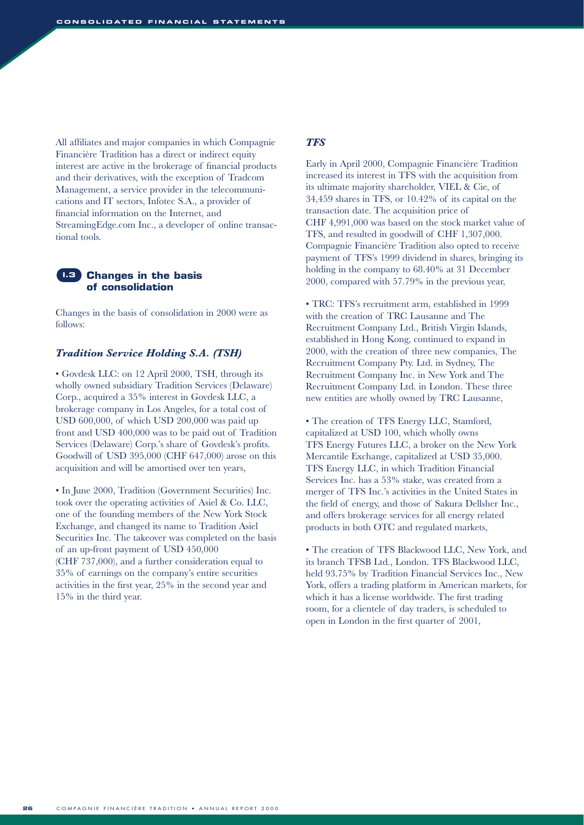All affiliates and major companies in which Compagnie Financière Tradition has a direct or indirect equity interest are active in the brokerage of financial products and their derivatives, with the exception of Tradcom Management, a service provider in the telecommunications and IT sectors, Infotec S.A., a provider of financial information on the Internet, and StreamingEdge.com Inc., a developer of online transactional tools.



Changes in the basis of consolidation in 2000 were as follows:

#### *Tradition Service Holding S.A. (TSH)*

• Govdesk LLC: on 12 April 2000, TSH, through its wholly owned subsidiary Tradition Services (Delaware) Corp., acquired a 35% interest in Govdesk LLC, a brokerage company in Los Angeles, for a total cost of USD 600,000, of which USD 200,000 was paid up front and USD 400,000 was to be paid out of Tradition Services (Delaware) Corp.'s share of Govdesk's profits. Goodwill of USD 395,000 (CHF 647,000) arose on this acquisition and will be amortised over ten years,

• In June 2000, Tradition (Government Securities) Inc. took over the operating activities of Asiel & Co. LLC, one of the founding members of the New York Stock Exchange, and changed its name to Tradition Asiel Securities Inc. The takeover was completed on the basis of an up-front payment of USD 450,000 (CHF 737,000), and a further consideration equal to 35% of earnings on the company's entire securities activities in the first year, 25% in the second year and 15% in the third year.

#### *TFS*

Early in April 2000, Compagnie Financière Tradition increased its interest in TFS with the acquisition from its ultimate majority shareholder, VIEL & Cie, of 34,459 shares in TFS, or 10.42% of its capital on the transaction date. The acquisition price of CHF 4,991,000 was based on the stock market value of TFS, and resulted in goodwill of CHF 1,307,000. Compagnie Financière Tradition also opted to receive payment of TFS's 1999 dividend in shares, bringing its holding in the company to 68.40% at 31 December 2000, compared with 57.79% in the previous year,

• TRC: TFS's recruitment arm, established in 1999 with the creation of TRC Lausanne and The Recruitment Company Ltd., British Virgin Islands, established in Hong Kong, continued to expand in 2000, with the creation of three new companies, The Recruitment Company Pty. Ltd. in Sydney, The Recruitment Company Inc. in New York and The Recruitment Company Ltd. in London. These three new entities are wholly owned by TRC Lausanne,

• The creation of TFS Energy LLC, Stamford, capitalized at USD 100, which wholly owns TFS Energy Futures LLC, a broker on the New York Mercantile Exchange, capitalized at USD 35,000. TFS Energy LLC, in which Tradition Financial Services Inc. has a 53% stake, was created from a merger of TFS Inc.'s activities in the United States in the field of energy, and those of Sakura Dellsher Inc., and offers brokerage services for all energy related products in both OTC and regulated markets,

• The creation of TFS Blackwood LLC, New York, and its branch TFSB Ltd., London. TFS Blackwood LLC, held 93.75% by Tradition Financial Services Inc., New York, offers a trading platform in American markets, for which it has a license worldwide. The first trading room, for a clientele of day traders, is scheduled to open in London in the first quarter of 2001,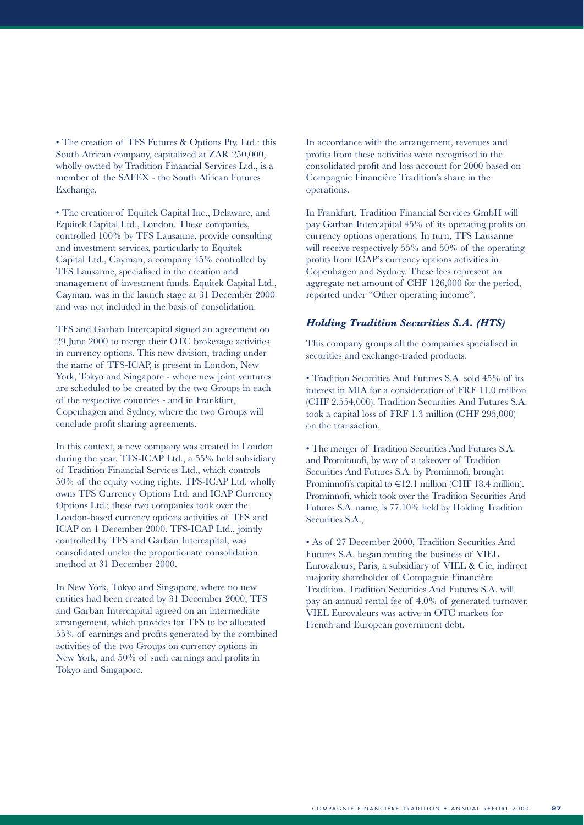• The creation of TFS Futures & Options Pty. Ltd.: this South African company, capitalized at ZAR 250,000, wholly owned by Tradition Financial Services Ltd., is a member of the SAFEX - the South African Futures Exchange,

• The creation of Equitek Capital Inc., Delaware, and Equitek Capital Ltd., London. These companies, controlled 100% by TFS Lausanne, provide consulting and investment services, particularly to Equitek Capital Ltd., Cayman, a company 45% controlled by TFS Lausanne, specialised in the creation and management of investment funds. Equitek Capital Ltd., Cayman, was in the launch stage at 31 December 2000 and was not included in the basis of consolidation.

TFS and Garban Intercapital signed an agreement on 29 June 2000 to merge their OTC brokerage activities in currency options. This new division, trading under the name of TFS-ICAP, is present in London, New York, Tokyo and Singapore - where new joint ventures are scheduled to be created by the two Groups in each of the respective countries - and in Frankfurt, Copenhagen and Sydney, where the two Groups will conclude profit sharing agreements.

In this context, a new company was created in London during the year, TFS-ICAP Ltd., a 55% held subsidiary of Tradition Financial Services Ltd., which controls 50% of the equity voting rights. TFS-ICAP Ltd. wholly owns TFS Currency Options Ltd. and ICAP Currency Options Ltd.; these two companies took over the London-based currency options activities of TFS and ICAP on 1 December 2000. TFS-ICAP Ltd., jointly controlled by TFS and Garban Intercapital, was consolidated under the proportionate consolidation method at 31 December 2000.

In New York, Tokyo and Singapore, where no new entities had been created by 31 December 2000, TFS and Garban Intercapital agreed on an intermediate arrangement, which provides for TFS to be allocated 55% of earnings and profits generated by the combined activities of the two Groups on currency options in New York, and 50% of such earnings and profits in Tokyo and Singapore.

In accordance with the arrangement, revenues and profits from these activities were recognised in the consolidated profit and loss account for 2000 based on Compagnie Financière Tradition's share in the operations.

In Frankfurt, Tradition Financial Services GmbH will pay Garban Intercapital 45% of its operating profits on currency options operations. In turn, TFS Lausanne will receive respectively 55% and 50% of the operating profits from ICAP's currency options activities in Copenhagen and Sydney. These fees represent an aggregate net amount of CHF 126,000 for the period, reported under "Other operating income".

#### *Holding Tradition Securities S.A. (HTS)*

This company groups all the companies specialised in securities and exchange-traded products.

• Tradition Securities And Futures S.A. sold 45% of its interest in MIA for a consideration of FRF 11.0 million (CHF 2,554,000). Tradition Securities And Futures S.A. took a capital loss of FRF 1.3 million (CHF 295,000) on the transaction,

• The merger of Tradition Securities And Futures S.A. and Prominnofi, by way of a takeover of Tradition Securities And Futures S.A. by Prominnofi, brought Prominnofi's capital to  $\in$ 12.1 million (CHF 18.4 million). Prominnofi, which took over the Tradition Securities And Futures S.A. name, is 77.10% held by Holding Tradition Securities S.A.,

• As of 27 December 2000, Tradition Securities And Futures S.A. began renting the business of VIEL Eurovaleurs, Paris, a subsidiary of VIEL & Cie, indirect majority shareholder of Compagnie Financière Tradition. Tradition Securities And Futures S.A. will pay an annual rental fee of 4.0% of generated turnover. VIEL Eurovaleurs was active in OTC markets for French and European government debt.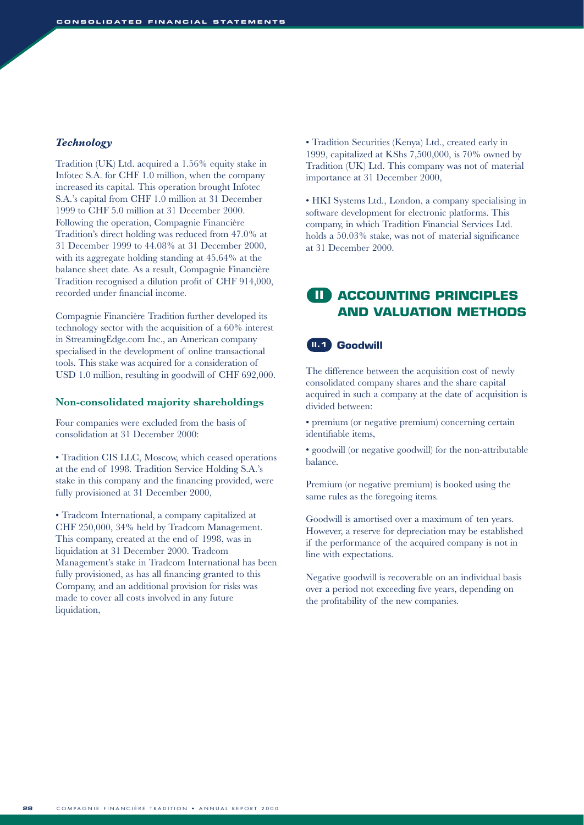#### *Technology*

Tradition (UK) Ltd. acquired a 1.56% equity stake in Infotec S.A. for CHF 1.0 million, when the company increased its capital. This operation brought Infotec S.A.'s capital from CHF 1.0 million at 31 December 1999 to CHF 5.0 million at 31 December 2000. Following the operation, Compagnie Financière Tradition's direct holding was reduced from 47.0% at 31 December 1999 to 44.08% at 31 December 2000, with its aggregate holding standing at 45.64% at the balance sheet date. As a result, Compagnie Financière Tradition recognised a dilution profit of CHF 914,000, recorded under financial income.

Compagnie Financière Tradition further developed its technology sector with the acquisition of a 60% interest in StreamingEdge.com Inc., an American company specialised in the development of online transactional tools. This stake was acquired for a consideration of USD 1.0 million, resulting in goodwill of CHF 692,000.

#### **Non-consolidated majority shareholdings**

Four companies were excluded from the basis of consolidation at 31 December 2000:

• Tradition CIS LLC, Moscow, which ceased operations at the end of 1998. Tradition Service Holding S.A.'s stake in this company and the financing provided, were fully provisioned at 31 December 2000,

• Tradcom International, a company capitalized at CHF 250,000, 34% held by Tradcom Management. This company, created at the end of 1998, was in liquidation at 31 December 2000. Tradcom Management's stake in Tradcom International has been fully provisioned, as has all financing granted to this Company, and an additional provision for risks was made to cover all costs involved in any future liquidation,

• Tradition Securities (Kenya) Ltd., created early in 1999, capitalized at KShs 7,500,000, is 70% owned by Tradition (UK) Ltd. This company was not of material importance at 31 December 2000,

• HKI Systems Ltd., London, a company specialising in software development for electronic platforms. This company, in which Tradition Financial Services Ltd. holds a 50.03% stake, was not of material significance at 31 December 2000.

### **ACCOUNTING PRINCIPLES II AND VALUATION METHODS**

#### **II.1** Goodwill

The difference between the acquisition cost of newly consolidated company shares and the share capital acquired in such a company at the date of acquisition is divided between:

• premium (or negative premium) concerning certain identifiable items,

• goodwill (or negative goodwill) for the non-attributable balance.

Premium (or negative premium) is booked using the same rules as the foregoing items.

Goodwill is amortised over a maximum of ten years. However, a reserve for depreciation may be established if the performance of the acquired company is not in line with expectations.

Negative goodwill is recoverable on an individual basis over a period not exceeding five years, depending on the profitability of the new companies.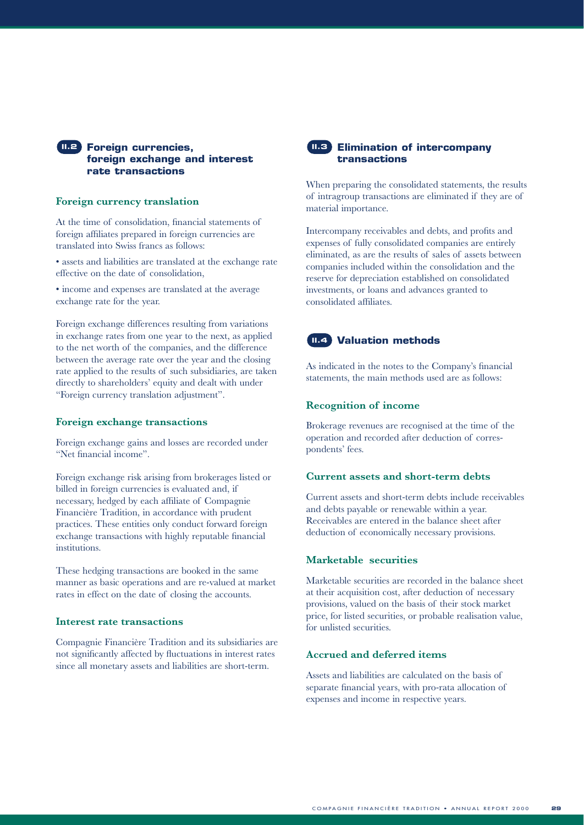#### **Foreign currencies, II.2 II.3 foreign exchange and interest rate transactions**

#### **Foreign currency translation**

At the time of consolidation, financial statements of foreign affiliates prepared in foreign currencies are translated into Swiss francs as follows:

• assets and liabilities are translated at the exchange rate effective on the date of consolidation,

• income and expenses are translated at the average exchange rate for the year.

Foreign exchange differences resulting from variations in exchange rates from one year to the next, as applied to the net worth of the companies, and the difference between the average rate over the year and the closing rate applied to the results of such subsidiaries, are taken directly to shareholders' equity and dealt with under "Foreign currency translation adjustment".

#### **Foreign exchange transactions**

Foreign exchange gains and losses are recorded under "Net financial income".

Foreign exchange risk arising from brokerages listed or billed in foreign currencies is evaluated and, if necessary, hedged by each affiliate of Compagnie Financière Tradition, in accordance with prudent practices. These entities only conduct forward foreign exchange transactions with highly reputable financial institutions.

These hedging transactions are booked in the same manner as basic operations and are re-valued at market rates in effect on the date of closing the accounts.

#### **Interest rate transactions**

Compagnie Financière Tradition and its subsidiaries are not significantly affected by fluctuations in interest rates since all monetary assets and liabilities are short-term.



#### **Elimination of intercompany transactions**

When preparing the consolidated statements, the results of intragroup transactions are eliminated if they are of material importance.

Intercompany receivables and debts, and profits and expenses of fully consolidated companies are entirely eliminated, as are the results of sales of assets between companies included within the consolidation and the reserve for depreciation established on consolidated investments, or loans and advances granted to consolidated affiliates.

#### **Valuation methods II.4**

As indicated in the notes to the Company's financial statements, the main methods used are as follows:

#### **Recognition of income**

Brokerage revenues are recognised at the time of the operation and recorded after deduction of correspondents' fees.

#### **Current assets and short-term debts**

Current assets and short-term debts include receivables and debts payable or renewable within a year. Receivables are entered in the balance sheet after deduction of economically necessary provisions.

#### **Marketable securities**

Marketable securities are recorded in the balance sheet at their acquisition cost, after deduction of necessary provisions, valued on the basis of their stock market price, for listed securities, or probable realisation value, for unlisted securities.

#### **Accrued and deferred items**

Assets and liabilities are calculated on the basis of separate financial years, with pro-rata allocation of expenses and income in respective years.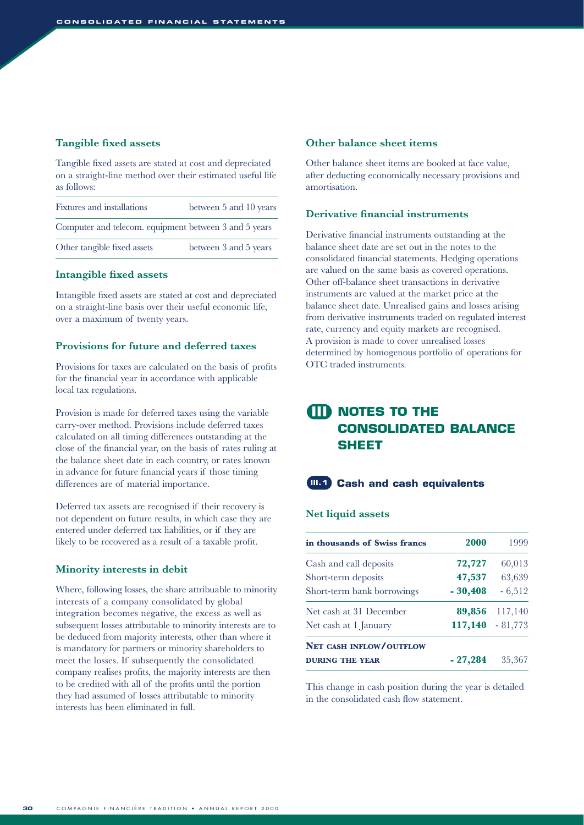#### **Tangible fixed assets**

Tangible fixed assets are stated at cost and depreciated on a straight-line method over their estimated useful life as follows:

| Fixtures and installations                            | between 5 and 10 years |
|-------------------------------------------------------|------------------------|
| Computer and telecom. equipment between 3 and 5 years |                        |
| Other tangible fixed assets                           | between 3 and 5 years  |

#### **Intangible fixed assets**

Intangible fixed assets are stated at cost and depreciated on a straight-line basis over their useful economic life, over a maximum of twenty years.

#### **Provisions for future and deferred taxes**

Provisions for taxes are calculated on the basis of profits for the financial year in accordance with applicable local tax regulations.

Provision is made for deferred taxes using the variable carry-over method. Provisions include deferred taxes calculated on all timing differences outstanding at the close of the financial year, on the basis of rates ruling at the balance sheet date in each country, or rates known in advance for future financial years if those timing differences are of material importance.

Deferred tax assets are recognised if their recovery is not dependent on future results, in which case they are entered under deferred tax liabilities, or if they are likely to be recovered as a result of a taxable profit.

#### **Minority interests in debit**

Where, following losses, the share attribuable to minority interests of a company consolidated by global integration becomes negative, the excess as well as subsequent losses attributable to minority interests are to be deduced from majority interests, other than where it is mandatory for partners or minority shareholders to meet the losses. If subsequently the consolidated company realises profits, the majority interests are then to be credited with all of the profits until the portion they had assumed of losses attributable to minority interests has been eliminated in full.

#### **Other balance sheet items**

Other balance sheet items are booked at face value, after deducting economically necessary provisions and amortisation.

#### **Derivative financial instruments**

Derivative financial instruments outstanding at the balance sheet date are set out in the notes to the consolidated financial statements. Hedging operations are valued on the same basis as covered operations. Other off-balance sheet transactions in derivative instruments are valued at the market price at the balance sheet date. Unrealised gains and losses arising from derivative instruments traded on regulated interest rate, currency and equity markets are recognised. A provision is made to cover unrealised losses determined by homogenous portfolio of operations for OTC traded instruments.

# **NOTES TO THE III CONSOLIDATED BALANCE SHEET**



#### **Net liquid assets**

| in thousands of Swiss francs | 2000      | 1999               |
|------------------------------|-----------|--------------------|
| Cash and call deposits       | 72,727    | 60,013             |
| Short-term deposits          | 47,537    | 63,639             |
| Short-term bank borrowings   | $-30,408$ | $-6,512$           |
| Net cash at 31 December      | 89,856    | 117,140            |
| Net cash at 1 January        |           | $117,140 - 81,773$ |
| NET CASH INFLOW/OUTFLOW      |           |                    |
| <b>DURING THE YEAR</b>       | $-27,284$ | 35,367             |

This change in cash position during the year is detailed in the consolidated cash flow statement.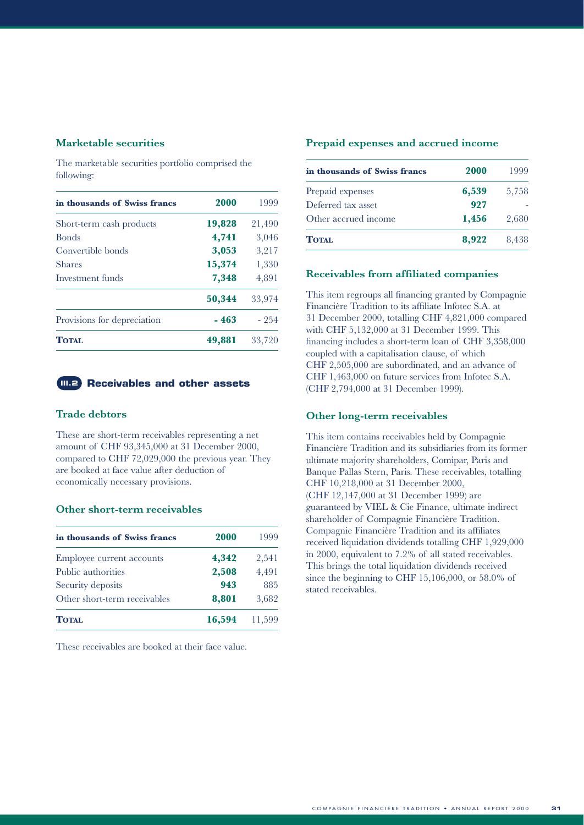#### **Marketable securities**

The marketable securities portfolio comprised the following:

| in thousands of Swiss francs | 2000   | 1999   |
|------------------------------|--------|--------|
| Short-term cash products     | 19,828 | 21,490 |
| <b>Bonds</b>                 | 4,741  | 3,046  |
| Convertible bonds            | 3,053  | 3,217  |
| <b>Shares</b>                | 15,374 | 1,330  |
| Investment funds             | 7,348  | 4,891  |
|                              | 50,344 | 33,974 |
| Provisions for depreciation  | - 463  | $-254$ |
| <b>TOTAL</b>                 | 49,881 | 33,720 |

#### **Receivables and other assets**

#### **Trade debtors**

These are short-term receivables representing a net amount of CHF 93,345,000 at 31 December 2000, compared to CHF 72,029,000 the previous year. They are booked at face value after deduction of economically necessary provisions.

#### **Other short-term receivables**

| in thousands of Swiss francs | 2000   | 1999   |
|------------------------------|--------|--------|
| Employee current accounts    | 4,342  | 2,541  |
| Public authorities           | 2,508  | 4,491  |
| Security deposits            | 943    | 885    |
| Other short-term receivables | 8,801  | 3,682  |
| TOTAL.                       | 16,594 | 11,599 |

These receivables are booked at their face value.

#### **Prepaid expenses and accrued income**

| in thousands of Swiss francs | 2000  | 1999  |
|------------------------------|-------|-------|
| Prepaid expenses             | 6,539 | 5,758 |
| Deferred tax asset           | 927   |       |
| Other accrued income         | 1,456 | 2,680 |
| <b>TOTAL</b>                 | 8,922 | 8,438 |

#### **Receivables from affiliated companies**

This item regroups all financing granted by Compagnie Financière Tradition to its affiliate Infotec S.A. at 31 December 2000, totalling CHF 4,821,000 compared with CHF 5,132,000 at 31 December 1999. This financing includes a short-term loan of CHF 3,358,000 coupled with a capitalisation clause, of which CHF 2,505,000 are subordinated, and an advance of CHF 1,463,000 on future services from Infotec S.A. (CHF 2,794,000 at 31 December 1999).

#### **Other long-term receivables**

This item contains receivables held by Compagnie Financière Tradition and its subsidiaries from its former ultimate majority shareholders, Comipar, Paris and Banque Pallas Stern, Paris. These receivables, totalling CHF 10,218,000 at 31 December 2000, (CHF 12,147,000 at 31 December 1999) are guaranteed by VIEL & Cie Finance, ultimate indirect shareholder of Compagnie Financière Tradition. Compagnie Financière Tradition and its affiliates received liquidation dividends totalling CHF 1,929,000 in 2000, equivalent to 7.2% of all stated receivables. This brings the total liquidation dividends received since the beginning to CHF 15,106,000, or 58.0% of stated receivables.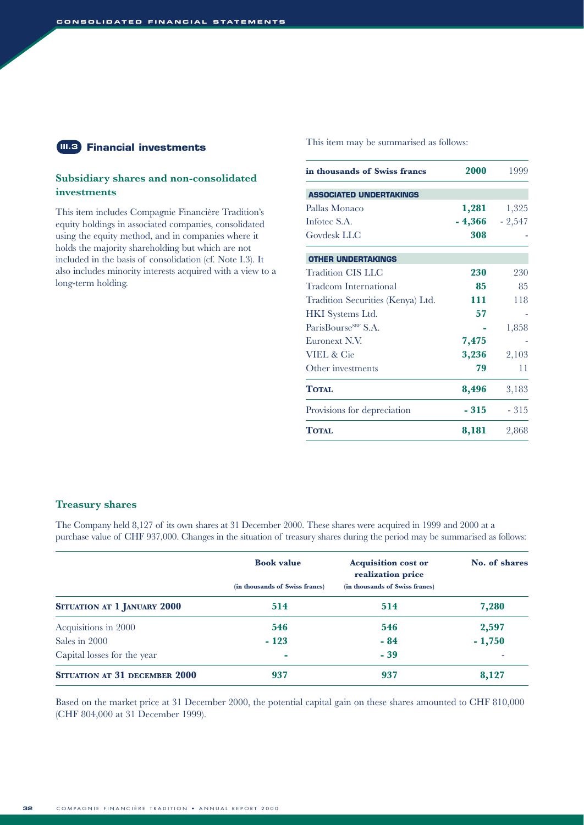#### **Financial investments III.3**

#### **Subsidiary shares and non-consolidated investments**

This item includes Compagnie Financière Tradition's equity holdings in associated companies, consolidated using the equity method, and in companies where it holds the majority shareholding but which are not included in the basis of consolidation (cf. Note I.3). It also includes minority interests acquired with a view to a long-term holding.

#### This item may be summarised as follows:

| in thousands of Swiss francs      | 2000             | 1999   |
|-----------------------------------|------------------|--------|
| <b>ASSOCIATED UNDERTAKINGS</b>    |                  |        |
| Pallas Monaco                     | 1,281            | 1,325  |
| Inforec S.A.                      | $-4,366 - 2,547$ |        |
| Govdesk LLC                       | 308              |        |
| <b>OTHER UNDERTAKINGS</b>         |                  |        |
| Tradition CIS LLC                 | 230              | 230    |
| Tradcom International             | 85               | 85     |
| Tradition Securities (Kenya) Ltd. | 111              | 118    |
| HKI Systems Ltd.                  | 57               |        |
| ParisBourse <sup>SBF</sup> S.A.   |                  | 1,858  |
| Euronext N.V.                     | 7,475            |        |
| <b>VIEL &amp; Cie</b>             | 3,236            | 2,103  |
| Other investments                 | 79               | 11     |
| <b>TOTAL</b>                      | 8,496            | 3,183  |
| Provisions for depreciation       | - 315            | $-315$ |
| <b>TOTAL</b>                      | 8,181            | 2,868  |

#### **Treasury shares**

The Company held 8,127 of its own shares at 31 December 2000. These shares were acquired in 1999 and 2000 at a purchase value of CHF 937,000. Changes in the situation of treasury shares during the period may be summarised as follows:

|                                      | <b>Book value</b>              | <b>Acquisition cost or</b><br>realization price | No. of shares |
|--------------------------------------|--------------------------------|-------------------------------------------------|---------------|
|                                      | (in thousands of Swiss francs) | (in thousands of Swiss francs)                  |               |
| SITUATION AT 1 JANUARY 2000          | 514                            | 514                                             | 7,280         |
| Acquisitions in 2000                 | 546                            | 546                                             | 2,597         |
| Sales in 2000                        | $-123$                         | $-84$                                           | $-1,750$      |
| Capital losses for the year          | <b>CO</b>                      | $-39$                                           |               |
| <b>SITUATION AT 31 DECEMBER 2000</b> | 937                            | 937                                             | 8,127         |

Based on the market price at 31 December 2000, the potential capital gain on these shares amounted to CHF 810,000 (CHF 804,000 at 31 December 1999).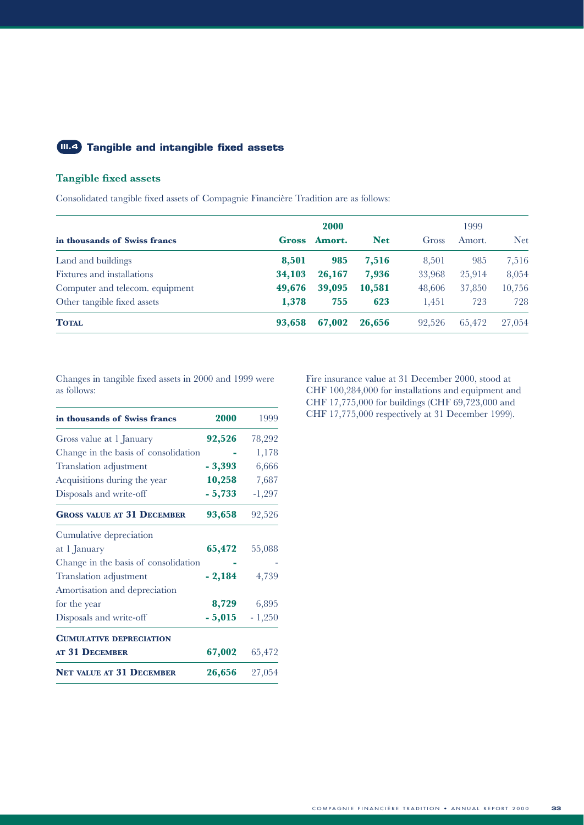#### **Tangible and intangible fixed assets III.4**

#### **Tangible fixed assets**

Consolidated tangible fixed assets of Compagnie Financière Tradition are as follows:

|                                 | 2000   |        |            | 1999   |        |            |
|---------------------------------|--------|--------|------------|--------|--------|------------|
| in thousands of Swiss francs    | Gross  | Amort. | <b>Net</b> | Gross  | Amort. | <b>Net</b> |
| Land and buildings              | 8,501  | 985    | 7,516      | 8,501  | 985    | 7,516      |
| Fixtures and installations      | 34,103 | 26,167 | 7,936      | 33,968 | 25,914 | 8,054      |
| Computer and telecom. equipment | 49,676 | 39,095 | 10,581     | 48,606 | 37,850 | 10,756     |
| Other tangible fixed assets     | 1,378  | 755    | 623        | 1,451  | 723    | 728        |
| <b>TOTAL</b>                    | 93,658 | 67,002 | 26,656     | 92.526 | 65,472 | 27,054     |

Changes in tangible fixed assets in 2000 and 1999 were as follows:

| in thousands of Swiss francs         | 2000     | 1999     |
|--------------------------------------|----------|----------|
| Gross value at 1 January             | 92,526   | 78,292   |
| Change in the basis of consolidation |          | 1,178    |
| Translation adjustment               | $-3,393$ | 6,666    |
| Acquisitions during the year         | 10,258   | 7,687    |
| Disposals and write-off              | $-5,733$ | $-1,297$ |
| <b>GROSS VALUE AT 31 DECEMBER</b>    | 93,658   | 92,526   |
| Cumulative depreciation              |          |          |
| at 1 January                         | 65,472   | 55,088   |
| Change in the basis of consolidation |          |          |
| Translation adjustment               | $-2,184$ | 4,739    |
| Amortisation and depreciation        |          |          |
| for the year                         | 8,729    | 6,895    |
| Disposals and write-off              | $-5,015$ | $-1,250$ |
| <b>CUMULATIVE DEPRECIATION</b>       |          |          |
| AT 31 DECEMBER                       | 67,002   | 65,472   |
| <b>NET VALUE AT 31 DECEMBER</b>      | 26,656   | 27,054   |

Fire insurance value at 31 December 2000, stood at CHF 100,284,000 for installations and equipment and CHF 17,775,000 for buildings (CHF 69,723,000 and CHF 17,775,000 respectively at 31 December 1999).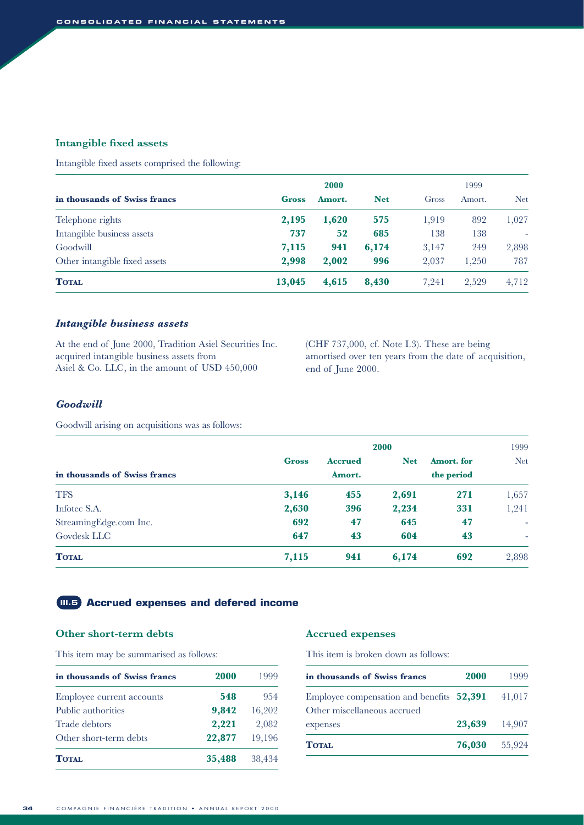#### **Intangible fixed assets**

Intangible fixed assets comprised the following:

|                               | <b>2000</b> |        |            | 1999  |        |            |
|-------------------------------|-------------|--------|------------|-------|--------|------------|
| in thousands of Swiss francs  | Gross       | Amort. | <b>Net</b> | Gross | Amort. | <b>Net</b> |
| Telephone rights              | 2,195       | 1,620  | 575        | 1,919 | 892    | 1,027      |
| Intangible business assets    | 737         | 52     | 685        | 138   | 138    | ۰          |
| Goodwill                      | 7,115       | 941    | 6,174      | 3,147 | 249    | 2,898      |
| Other intangible fixed assets | 2,998       | 2,002  | 996        | 2,037 | 1,250  | 787        |
| <b>TOTAL</b>                  | 13,045      | 4,615  | 8,430      | 7,241 | 2,529  | 4,712      |

#### *Intangible business assets*

At the end of June 2000, Tradition Asiel Securities Inc. acquired intangible business assets from Asiel & Co. LLC, in the amount of USD 450,000

(CHF 737,000, cf. Note I.3). These are being amortised over ten years from the date of acquisition, end of June 2000.

#### *Goodwill*

Goodwill arising on acquisitions was as follows:

|                              | 2000         |                |            |            | 1999                     |  |
|------------------------------|--------------|----------------|------------|------------|--------------------------|--|
|                              | <b>Gross</b> | <b>Accrued</b> | <b>Net</b> | Amort. for | <b>Net</b>               |  |
| in thousands of Swiss francs |              | Amort.         | the period |            |                          |  |
| <b>TFS</b>                   | 3,146        | 455            | 2,691      | 271        | 1,657                    |  |
| Infotec S.A.                 | 2,630        | 396            | 2,234      | 331        | 1,241                    |  |
| StreamingEdge.com Inc.       | 692          | 47             | 645        | 47         | ٠                        |  |
| Govdesk LLC                  | 647          | 43             | 604        | 43         | $\overline{\phantom{a}}$ |  |
| <b>TOTAL</b>                 | 7,115        | 941            | 6,174      | 692        | 2,898                    |  |

#### **III.5 Accrued expenses and defered income**

#### **Other short-term debts**

This item may be summarised as follows:

| in thousands of Swiss francs | 2000   | 1999   |
|------------------------------|--------|--------|
| Employee current accounts    | 548    | 954    |
| Public authorities           | 9,842  | 16,202 |
| Trade debtors                | 2,221  | 2,082  |
| Other short-term debts       | 22,877 | 19,196 |
| <b>TOTAL</b>                 | 35,488 | 38,434 |

#### **Accrued expenses**

This item is broken down as follows:

| in thousands of Swiss francs              | 2000   | 1999   |
|-------------------------------------------|--------|--------|
| Employee compensation and benefits 52,391 |        | 41,017 |
| Other miscellaneous accrued               |        |        |
| expenses                                  | 23,639 | 14,907 |
| <b>TOTAL</b>                              | 76,030 | 55,924 |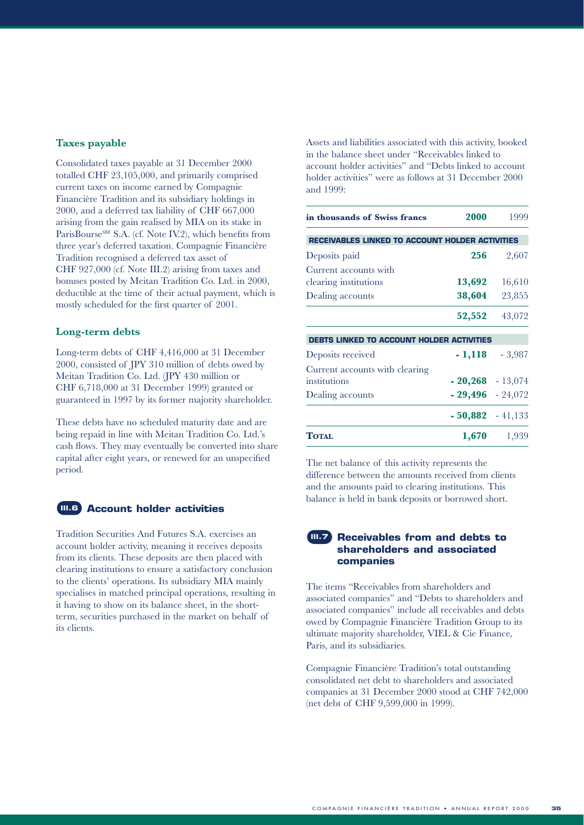#### **Taxes payable**

Consolidated taxes payable at 31 December 2000 totalled CHF 23,105,000, and primarily comprised current taxes on income earned by Compagnie Financière Tradition and its subsidiary holdings in 2000, and a deferred tax liability of CHF 667,000 arising from the gain realised by MIA on its stake in ParisBourse<sup>SBF</sup> S.A. (cf. Note IV.2), which benefits from three year's deferred taxation. Compagnie Financière Tradition recognised a deferred tax asset of CHF 927,000 (cf. Note III.2) arising from taxes and bonuses posted by Meitan Tradition Co. Ltd. in 2000, deductible at the time of their actual payment, which is mostly scheduled for the first quarter of 2001.

#### **Long-term debts**

Long-term debts of CHF 4,416,000 at 31 December 2000, consisted of JPY 310 million of debts owed by Meitan Tradition Co. Ltd. (JPY 430 million or CHF 6,718,000 at 31 December 1999) granted or guaranteed in 1997 by its former majority shareholder.

These debts have no scheduled maturity date and are being repaid in line with Meitan Tradition Co. Ltd.'s cash flows. They may eventually be converted into share capital after eight years, or renewed for an unspecified period.

#### **III.6**

#### **Account holder activities**

Tradition Securities And Futures S.A. exercises an account holder activity, meaning it receives deposits from its clients. These deposits are then placed with clearing institutions to ensure a satisfactory conclusion to the clients' operations. Its subsidiary MIA mainly specialises in matched principal operations, resulting in it having to show on its balance sheet, in the shortterm, securities purchased in the market on behalf of its clients.

Assets and liabilities associated with this activity, booked in the balance sheet under "Receivables linked to account holder activities" and "Debts linked to account holder activities" were as follows at 31 December 2000 and 1999:

| in thousands of Swiss francs                           | 2000               | 1999     |
|--------------------------------------------------------|--------------------|----------|
| <b>RECEIVABLES LINKED TO ACCOUNT HOLDER ACTIVITIES</b> |                    |          |
| Deposits paid                                          | 256                | 2,607    |
| Current accounts with<br>clearing institutions         | 13,692             | 16,610   |
| Dealing accounts                                       | 38,604             | 23,855   |
|                                                        | 52,552             | 43,072   |
| <b>DEBTS LINKED TO ACCOUNT HOLDER ACTIVITIES</b>       |                    |          |
| Deposits received                                      | $-1,118$           | $-3,987$ |
| Current accounts with clearing<br>institutions         | $-20,268 - 13,074$ |          |
| Dealing accounts                                       | $-29,496 - 24,072$ |          |
|                                                        | $-50,882 - 41,133$ |          |
| TOTAL                                                  | 1,670              | 1,939    |

The net balance of this activity represents the difference between the amounts received from clients and the amounts paid to clearing institutions. This balance is held in bank deposits or borrowed short.

#### **Receivables from and debts to shareholders and associated companies**

The items "Receivables from shareholders and associated companies" and "Debts to shareholders and associated companies" include all receivables and debts owed by Compagnie Financière Tradition Group to its ultimate majority shareholder, VIEL & Cie Finance, Paris, and its subsidiaries.

Compagnie Financière Tradition's total outstanding consolidated net debt to shareholders and associated companies at 31 December 2000 stood at CHF 742,000 (net debt of CHF 9,599,000 in 1999).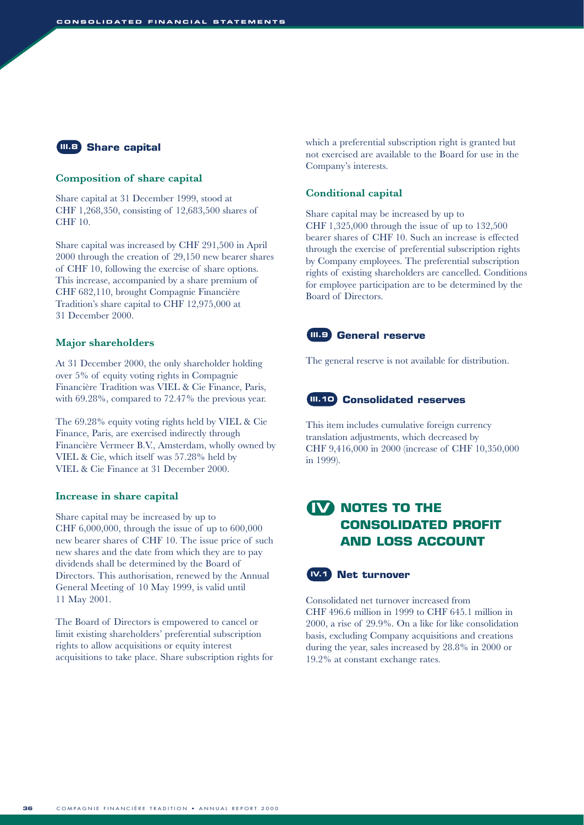#### **III.8** Share capital

#### **Composition of share capital**

Share capital at 31 December 1999, stood at CHF 1,268,350, consisting of 12,683,500 shares of CHF 10.

Share capital was increased by CHF 291,500 in April 2000 through the creation of 29,150 new bearer shares of CHF 10, following the exercise of share options. This increase, accompanied by a share premium of CHF 682,110, brought Compagnie Financière Tradition's share capital to CHF 12,975,000 at 31 December 2000.

#### **Major shareholders**

At 31 December 2000, the only shareholder holding over 5% of equity voting rights in Compagnie Financière Tradition was VIEL & Cie Finance, Paris, with 69.28%, compared to 72.47% the previous year.

The 69.28% equity voting rights held by VIEL & Cie Finance, Paris, are exercised indirectly through Financière Vermeer B.V., Amsterdam, wholly owned by VIEL & Cie, which itself was 57.28% held by VIEL & Cie Finance at 31 December 2000.

#### **Increase in share capital**

Share capital may be increased by up to CHF 6,000,000, through the issue of up to 600,000 new bearer shares of CHF 10. The issue price of such new shares and the date from which they are to pay dividends shall be determined by the Board of Directors. This authorisation, renewed by the Annual General Meeting of 10 May 1999, is valid until 11 May 2001.

The Board of Directors is empowered to cancel or limit existing shareholders' preferential subscription rights to allow acquisitions or equity interest acquisitions to take place. Share subscription rights for which a preferential subscription right is granted but not exercised are available to the Board for use in the Company's interests.

#### **Conditional capital**

Share capital may be increased by up to CHF 1,325,000 through the issue of up to 132,500 bearer shares of CHF 10. Such an increase is effected through the exercise of preferential subscription rights by Company employees. The preferential subscription rights of existing shareholders are cancelled. Conditions for employee participation are to be determined by the Board of Directors.

#### **III.9** General reserve

The general reserve is not available for distribution.

#### **III.10 Consolidated reserves**

This item includes cumulative foreign currency translation adjustments, which decreased by CHF 9,416,000 in 2000 (increase of CHF 10,350,000 in 1999).

# **NOTES TO THE IV CONSOLIDATED PROFIT AND LOSS ACCOUNT**



Consolidated net turnover increased from CHF 496.6 million in 1999 to CHF 645.1 million in 2000, a rise of 29.9%. On a like for like consolidation basis, excluding Company acquisitions and creations during the year, sales increased by 28.8% in 2000 or 19.2% at constant exchange rates.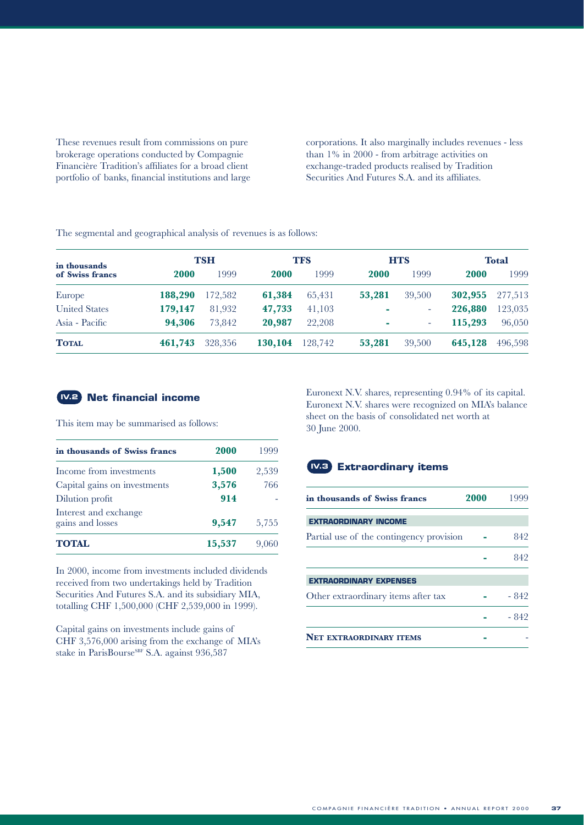These revenues result from commissions on pure brokerage operations conducted by Compagnie Financière Tradition's affiliates for a broad client portfolio of banks, financial institutions and large corporations. It also marginally includes revenues - less than 1% in 2000 - from arbitrage activities on exchange-traded products realised by Tradition Securities And Futures S.A. and its affiliates.

The segmental and geographical analysis of revenues is as follows:

| in thousands<br>of Swiss francs |         | TSH     |             | <b>TFS</b> |            | <b>HTS</b> |         | <b>Total</b> |
|---------------------------------|---------|---------|-------------|------------|------------|------------|---------|--------------|
|                                 | 2000    | 1999    | <b>2000</b> | 1999       | 2000       | 1999       | 2000    | 1999         |
| Europe                          | 188,290 | 172,582 | 61,384      | 65,431     | 53,281     | 39,500     | 302,955 | 277,513      |
| <b>United States</b>            | 179,147 | 81,932  | 47,733      | 41,103     | ۰          | ۰          | 226,880 | 123,035      |
| Asia - Pacific                  | 94.306  | 73.842  | 20,987      | 22,208     | <b>COL</b> | ٠          | 115,293 | 96,050       |
| <b>TOTAL</b>                    | 461,743 | 328,356 | 130,104     | 128,742    | 53,281     | 39,500     | 645,128 | 496,598      |

#### **Net financial income IV.2**

This item may be summarised as follows:

| in thousands of Swiss francs              | 2000   | 1999  |
|-------------------------------------------|--------|-------|
| Income from investments                   | 1,500  | 2,539 |
| Capital gains on investments              | 3,576  | 766   |
| Dilution profit                           | 914    |       |
| Interest and exchange<br>gains and losses | 9,547  | 5,755 |
| <b>TOTAL</b>                              | 15,537 |       |

In 2000, income from investments included dividends received from two undertakings held by Tradition Securities And Futures S.A. and its subsidiary MIA, totalling CHF 1,500,000 (CHF 2,539,000 in 1999).

Capital gains on investments include gains of CHF 3,576,000 arising from the exchange of MIA's stake in ParisBourse<sup>SBF</sup> S.A. against 936,587

Euronext N.V. shares, representing 0.94% of its capital. Euronext N.V. shares were recognized on MIA's balance sheet on the basis of consolidated net worth at 30 June 2000.

#### **Extraordinary items IV.3**

| in thousands of Swiss francs             | 2000 | 1999  |
|------------------------------------------|------|-------|
| <b>EXTRAORDINARY INCOME</b>              |      |       |
| Partial use of the contingency provision |      | 842   |
|                                          |      | 842   |
| <b>EXTRAORDINARY EXPENSES</b>            |      |       |
| Other extraordinary items after tax      |      | - 842 |
|                                          |      | - 842 |
| <b>NET EXTRAORDINARY ITEMS</b>           |      |       |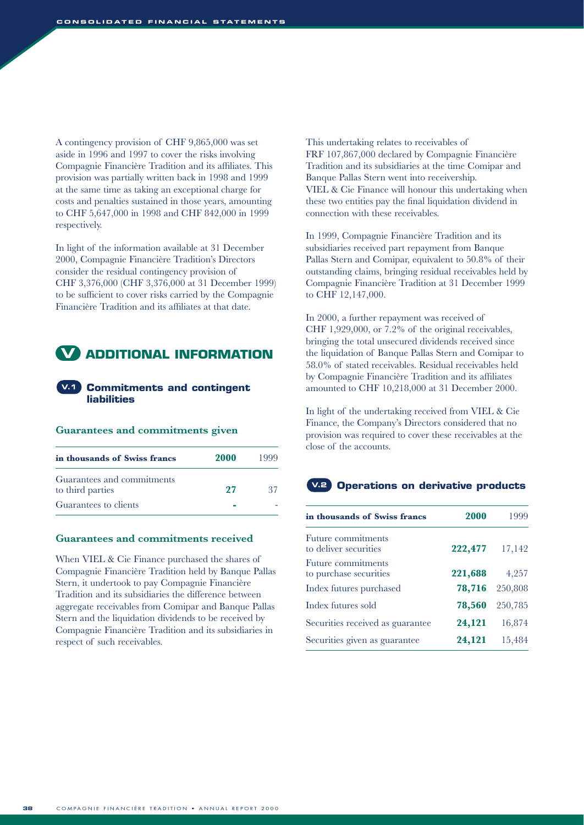A contingency provision of CHF 9,865,000 was set aside in 1996 and 1997 to cover the risks involving Compagnie Financière Tradition and its affiliates. This provision was partially written back in 1998 and 1999 at the same time as taking an exceptional charge for costs and penalties sustained in those years, amounting to CHF 5,647,000 in 1998 and CHF 842,000 in 1999 respectively.

In light of the information available at 31 December 2000, Compagnie Financière Tradition's Directors consider the residual contingency provision of CHF 3,376,000 (CHF 3,376,000 at 31 December 1999) to be sufficient to cover risks carried by the Compagnie Financière Tradition and its affiliates at that date.



#### **Commitments and contingent V.1 liabilities**

#### **Guarantees and commitments given**

| in thousands of Swiss francs                   | <b>2000</b> | 1999 |
|------------------------------------------------|-------------|------|
| Guarantees and commitments<br>to third parties | 27          | -27  |
| Guarantees to clients                          |             |      |

#### **Guarantees and commitments received**

When VIEL & Cie Finance purchased the shares of Compagnie Financière Tradition held by Banque Pallas Stern, it undertook to pay Compagnie Financière Tradition and its subsidiaries the difference between aggregate receivables from Comipar and Banque Pallas Stern and the liquidation dividends to be received by Compagnie Financière Tradition and its subsidiaries in respect of such receivables.

This undertaking relates to receivables of FRF 107,867,000 declared by Compagnie Financière Tradition and its subsidiaries at the time Comipar and Banque Pallas Stern went into receivership. VIEL & Cie Finance will honour this undertaking when these two entities pay the final liquidation dividend in connection with these receivables.

In 1999, Compagnie Financière Tradition and its subsidiaries received part repayment from Banque Pallas Stern and Comipar, equivalent to 50.8% of their outstanding claims, bringing residual receivables held by Compagnie Financière Tradition at 31 December 1999 to CHF 12,147,000.

In 2000, a further repayment was received of CHF 1,929,000, or 7.2% of the original receivables, bringing the total unsecured dividends received since the liquidation of Banque Pallas Stern and Comipar to 58.0% of stated receivables. Residual receivables held by Compagnie Financière Tradition and its affiliates amounted to CHF 10,218,000 at 31 December 2000.

In light of the undertaking received from VIEL & Cie Finance, the Company's Directors considered that no provision was required to cover these receivables at the close of the accounts.

#### **Operations on derivative products V.2**

| in thousands of Swiss francs                 | 2000    | 1999    |
|----------------------------------------------|---------|---------|
| Future commitments<br>to deliver securities  | 222,477 | 17,142  |
| Future commitments<br>to purchase securities | 221,688 | 4,257   |
| Index futures purchased                      | 78,716  | 250,808 |
| Index futures sold                           | 78,560  | 250,785 |
| Securities received as guarantee             | 24,121  | 16,874  |
| Securities given as guarantee                | 24,121  | 15,484  |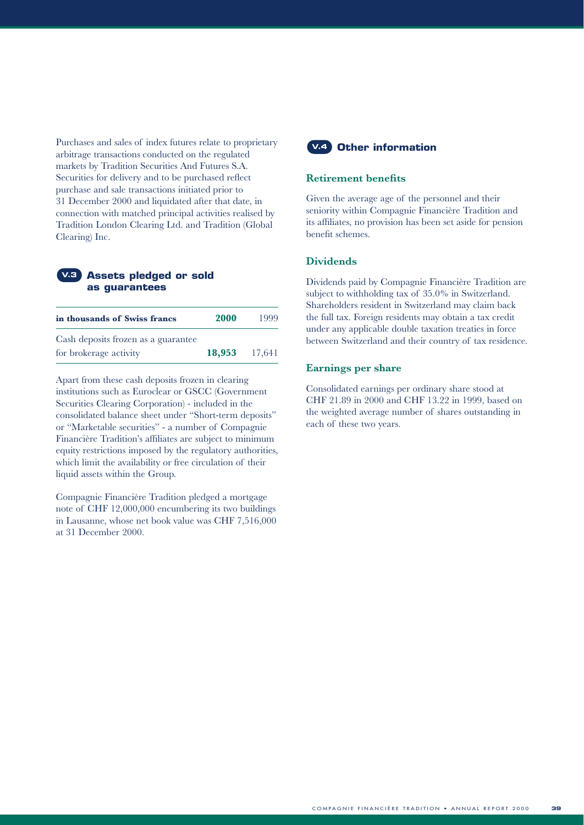Purchases and sales of index futures relate to proprietary arbitrage transactions conducted on the regulated markets by Tradition Securities And Futures S.A. Securities for delivery and to be purchased reflect purchase and sale transactions initiated prior to 31 December 2000 and liquidated after that date, in connection with matched principal activities realised by Tradition London Clearing Ltd. and Tradition (Global Clearing) Inc.

#### **Assets pledged or sold V.3 as guarantees**

| in thousands of Swiss francs        | <b>2000</b> | 1999   |
|-------------------------------------|-------------|--------|
| Cash deposits frozen as a guarantee |             |        |
| for brokerage activity              | 18,953      | 17,641 |

Apart from these cash deposits frozen in clearing institutions such as Euroclear or GSCC (Government Securities Clearing Corporation) - included in the consolidated balance sheet under "Short-term deposits" or "Marketable securities" - a number of Compagnie Financière Tradition's affiliates are subject to minimum equity restrictions imposed by the regulatory authorities, which limit the availability or free circulation of their liquid assets within the Group.

Compagnie Financière Tradition pledged a mortgage note of CHF 12,000,000 encumbering its two buildings in Lausanne, whose net book value was CHF 7,516,000 at 31 December 2000.



#### **Retirement benefits**

Given the average age of the personnel and their seniority within Compagnie Financière Tradition and its affiliates, no provision has been set aside for pension benefit schemes.

#### **Dividends**

Dividends paid by Compagnie Financière Tradition are subject to withholding tax of 35.0% in Switzerland. Shareholders resident in Switzerland may claim back the full tax. Foreign residents may obtain a tax credit under any applicable double taxation treaties in force between Switzerland and their country of tax residence.

#### **Earnings per share**

Consolidated earnings per ordinary share stood at CHF 21.89 in 2000 and CHF 13.22 in 1999, based on the weighted average number of shares outstanding in each of these two years.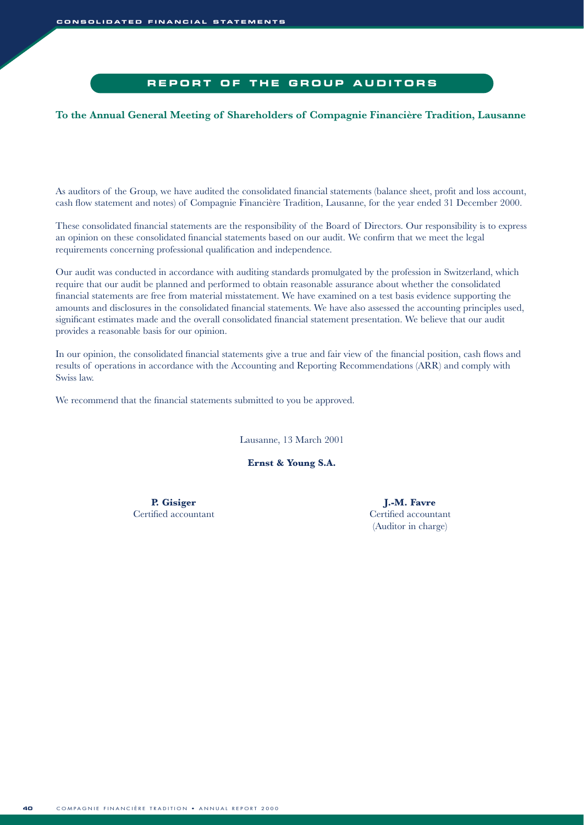#### **REPORT OF THE GROUP AUDITORS**

#### **To the Annual General Meeting of Shareholders of Compagnie Financière Tradition, Lausanne**

As auditors of the Group, we have audited the consolidated financial statements (balance sheet, profit and loss account, cash flow statement and notes) of Compagnie Financière Tradition, Lausanne, for the year ended 31 December 2000.

These consolidated financial statements are the responsibility of the Board of Directors. Our responsibility is to express an opinion on these consolidated financial statements based on our audit. We confirm that we meet the legal requirements concerning professional qualification and independence.

Our audit was conducted in accordance with auditing standards promulgated by the profession in Switzerland, which require that our audit be planned and performed to obtain reasonable assurance about whether the consolidated financial statements are free from material misstatement. We have examined on a test basis evidence supporting the amounts and disclosures in the consolidated financial statements. We have also assessed the accounting principles used, significant estimates made and the overall consolidated financial statement presentation. We believe that our audit provides a reasonable basis for our opinion.

In our opinion, the consolidated financial statements give a true and fair view of the financial position, cash flows and results of operations in accordance with the Accounting and Reporting Recommendations (ARR) and comply with Swiss law.

We recommend that the financial statements submitted to you be approved.

Lausanne, 13 March 2001

**Ernst & Young S.A.**

Certified accountant Certified accountant

P. Gisiger J.-M. Favre (Auditor in charge)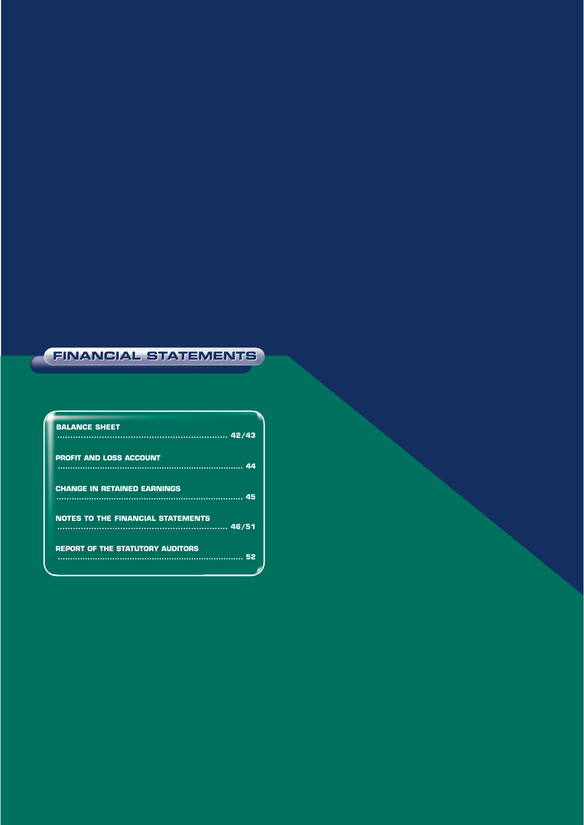#### **FINANCIAL STATEMENTS FINANCIAL STATEMENTS**

| <b>BALANCE SHEET</b>                            |  |
|-------------------------------------------------|--|
| <b>PROFIT AND LOSS ACCOUNT</b>                  |  |
| <b>CHANGE IN RETAINED EARNINGS</b>              |  |
| <b>NOTES TO THE FINANCIAL STATEMENTS</b>        |  |
| <b>REPORT OF THE STATUTORY AUDITORS</b><br>. 52 |  |
|                                                 |  |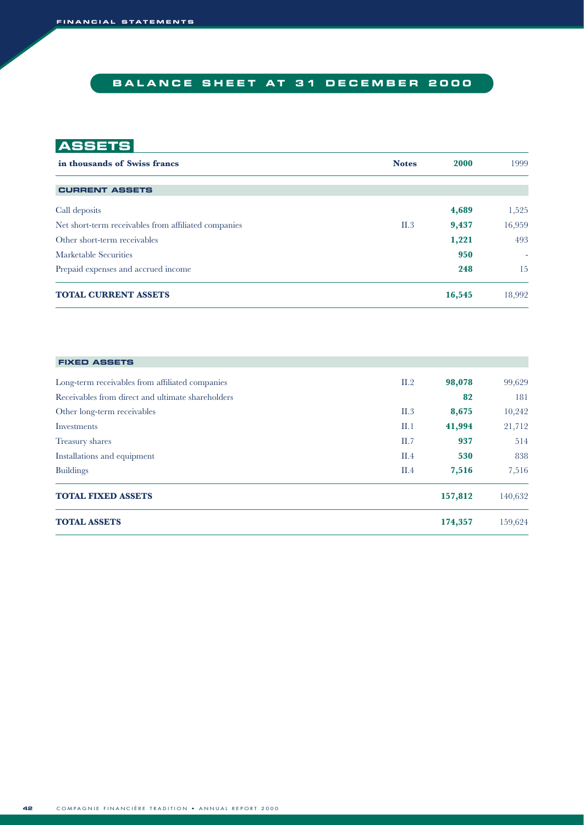# **BALANCE SHEET AT 31 DECEMBER 2000**

# **ASSETS**

| in thousands of Swiss francs                         | <b>Notes</b> | 2000   | 1999                     |
|------------------------------------------------------|--------------|--------|--------------------------|
|                                                      |              |        |                          |
| <b>CURRENT ASSETS</b>                                |              |        |                          |
| Call deposits                                        |              | 4,689  | 1,525                    |
| Net short-term receivables from affiliated companies | II.3         | 9,437  | 16,959                   |
| Other short-term receivables                         |              | 1,221  | 493                      |
| Marketable Securities                                |              | 950    | $\overline{\phantom{a}}$ |
| Prepaid expenses and accrued income                  |              | 248    | 15                       |
| <b>TOTAL CURRENT ASSETS</b>                          |              | 16,545 | 18,992                   |

| <b>FIXED ASSETS</b>                               |      |         |         |
|---------------------------------------------------|------|---------|---------|
| Long-term receivables from affiliated companies   | II.2 | 98,078  | 99,629  |
| Receivables from direct and ultimate shareholders |      | 82      | 181     |
| Other long-term receivables                       | II.3 | 8,675   | 10,242  |
| Investments                                       | II.1 | 41,994  | 21,712  |
| Treasury shares                                   | II.7 | 937     | 514     |
| Installations and equipment                       | II.4 | 530     | 838     |
| <b>Buildings</b>                                  | II.4 | 7,516   | 7,516   |
| <b>TOTAL FIXED ASSETS</b>                         |      | 157,812 | 140,632 |
| <b>TOTAL ASSETS</b>                               |      | 174,357 | 159,624 |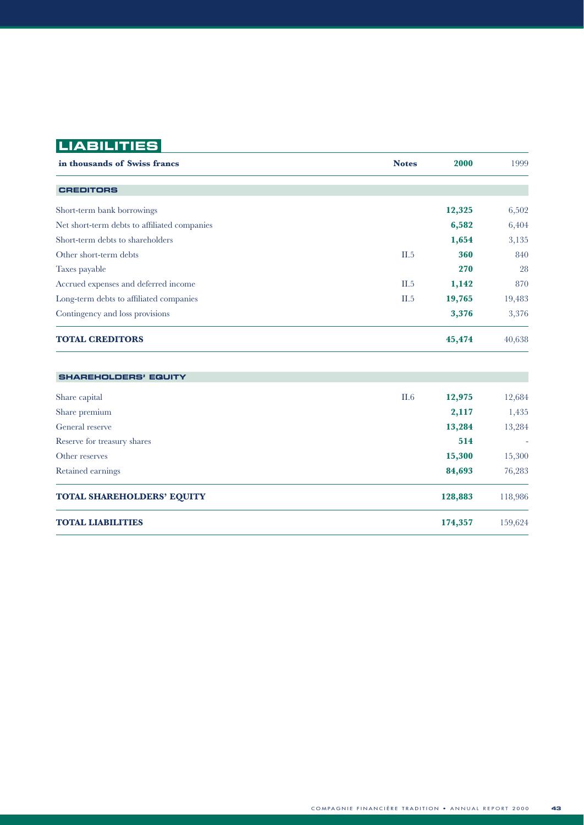# **LIABILITIES**

| in thousands of Swiss francs                 | <b>Notes</b> | 2000   | 1999   |
|----------------------------------------------|--------------|--------|--------|
| <b>CREDITORS</b>                             |              |        |        |
| Short-term bank borrowings                   |              | 12,325 | 6,502  |
| Net short-term debts to affiliated companies |              | 6,582  | 6,404  |
| Short-term debts to shareholders             |              | 1,654  | 3,135  |
| Other short-term debts                       | II.5         | 360    | 840    |
| Taxes payable                                |              | 270    | 28     |
| Accrued expenses and deferred income         | II.5         | 1,142  | 870    |
| Long-term debts to affiliated companies      | II.5         | 19,765 | 19,483 |
| Contingency and loss provisions              |              | 3,376  | 3,376  |
| <b>TOTAL CREDITORS</b>                       |              | 45,474 | 40,638 |
| <b>SHAREHOLDERS' EQUITY</b>                  |              |        |        |
| Share capital                                | II.6         | 12,975 | 12,684 |
| Share premium                                |              | 2,117  | 1,435  |
| General reserve                              |              | 13,284 | 13,284 |
| Reserve for treasury shares                  |              | 514    |        |
| Other reserves                               |              | 15,300 | 15,300 |
| Retained earnings                            |              | 84,693 | 76,283 |

| <b>TOTAL SHAREHOLDERS' EQUITY</b> | 128,883 | 118,986 |
|-----------------------------------|---------|---------|
| <b>TOTAL LIABILITIES</b>          | 174.357 | 159,624 |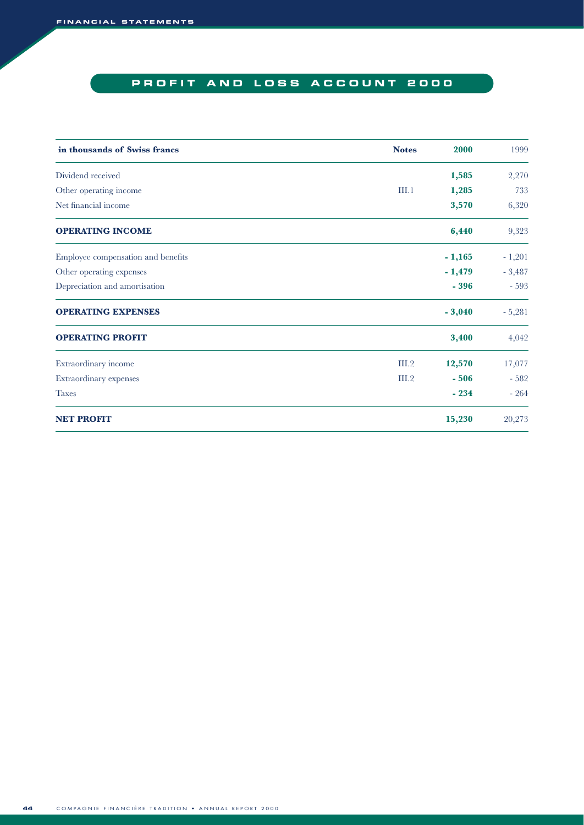# **PROFIT AND LOSS ACCOUNT 2000**

| in thousands of Swiss francs       | <b>Notes</b> | 2000     | 1999     |
|------------------------------------|--------------|----------|----------|
| Dividend received                  |              | 1,585    | 2,270    |
| Other operating income             | III.1        | 1,285    | 733      |
| Net financial income               |              | 3,570    | 6,320    |
| <b>OPERATING INCOME</b>            |              | 6,440    | 9,323    |
| Employee compensation and benefits |              | $-1,165$ | $-1,201$ |
| Other operating expenses           |              | $-1,479$ | $-3,487$ |
| Depreciation and amortisation      |              | $-396$   | $-593$   |
| <b>OPERATING EXPENSES</b>          |              | $-3,040$ | $-5,281$ |
| <b>OPERATING PROFIT</b>            |              | 3,400    | 4,042    |
| Extraordinary income               | III.2        | 12,570   | 17,077   |
| Extraordinary expenses             | III.2        | $-506$   | $-582$   |
| <b>Taxes</b>                       |              | $-234$   | $-264$   |
| <b>NET PROFIT</b>                  |              | 15,230   | 20,273   |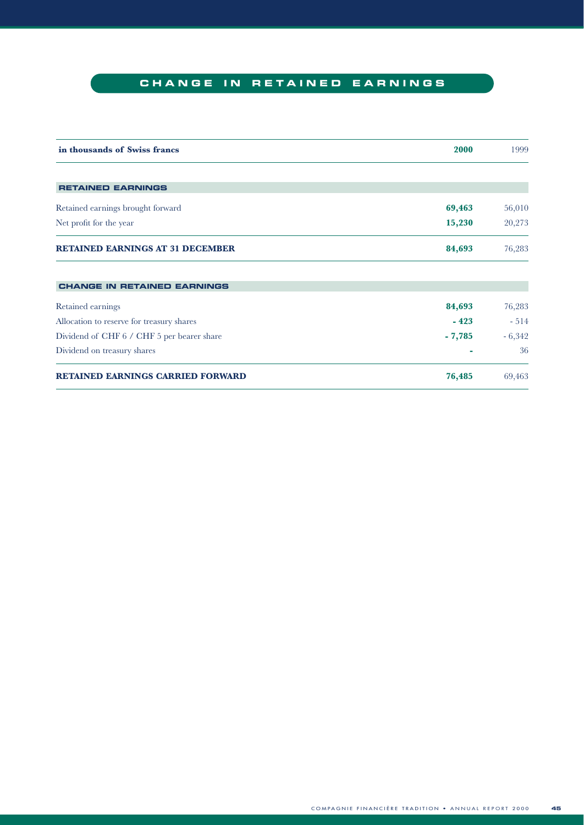# **CHANGE IN RETAINED EARNINGS**

| in thousands of Swiss francs               | 2000     | 1999     |
|--------------------------------------------|----------|----------|
|                                            |          |          |
| <b>RETAINED EARNINGS</b>                   |          |          |
| Retained earnings brought forward          | 69,463   | 56,010   |
| Net profit for the year                    | 15,230   | 20,273   |
| <b>RETAINED EARNINGS AT 31 DECEMBER</b>    | 84,693   | 76,283   |
|                                            |          |          |
| <b>CHANGE IN RETAINED EARNINGS</b>         |          |          |
| Retained earnings                          | 84,693   | 76,283   |
| Allocation to reserve for treasury shares  | $-423$   | $-514$   |
| Dividend of CHF 6 / CHF 5 per bearer share | $-7,785$ | $-6,342$ |
| Dividend on treasury shares                |          | 36       |
| <b>RETAINED EARNINGS CARRIED FORWARD</b>   | 76,485   | 69,463   |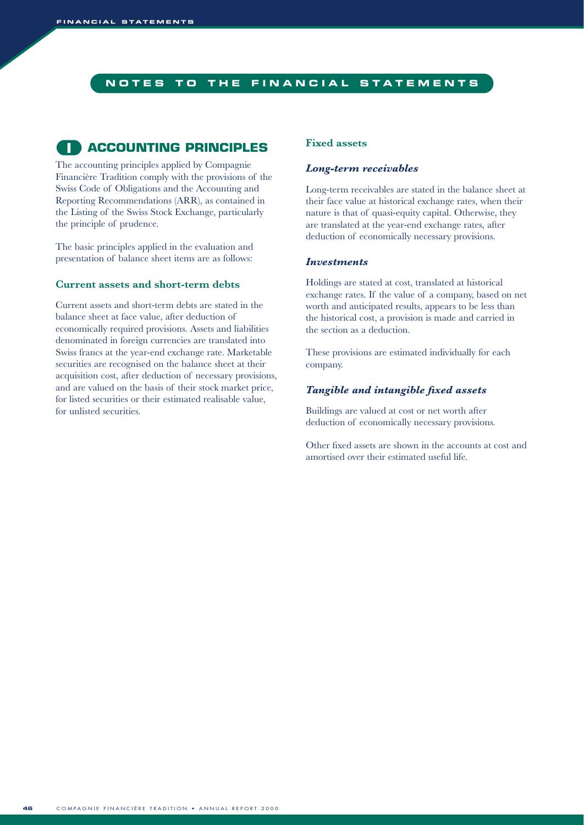#### **NOTES TO THE FINANCIAL STATEMENTS**

### **ACCOUNTING PRINCIPLES I**

The accounting principles applied by Compagnie Financière Tradition comply with the provisions of the Swiss Code of Obligations and the Accounting and Reporting Recommendations (ARR), as contained in the Listing of the Swiss Stock Exchange, particularly the principle of prudence.

The basic principles applied in the evaluation and presentation of balance sheet items are as follows:

#### **Current assets and short-term debts**

Current assets and short-term debts are stated in the balance sheet at face value, after deduction of economically required provisions. Assets and liabilities denominated in foreign currencies are translated into Swiss francs at the year-end exchange rate. Marketable securities are recognised on the balance sheet at their acquisition cost, after deduction of necessary provisions, and are valued on the basis of their stock market price, for listed securities or their estimated realisable value, for unlisted securities.

#### **Fixed assets**

#### *Long-term receivables*

Long-term receivables are stated in the balance sheet at their face value at historical exchange rates, when their nature is that of quasi-equity capital. Otherwise, they are translated at the year-end exchange rates, after deduction of economically necessary provisions.

#### *Investments*

Holdings are stated at cost, translated at historical exchange rates. If the value of a company, based on net worth and anticipated results, appears to be less than the historical cost, a provision is made and carried in the section as a deduction.

These provisions are estimated individually for each company.

#### *Tangible and intangible fixed assets*

Buildings are valued at cost or net worth after deduction of economically necessary provisions.

Other fixed assets are shown in the accounts at cost and amortised over their estimated useful life.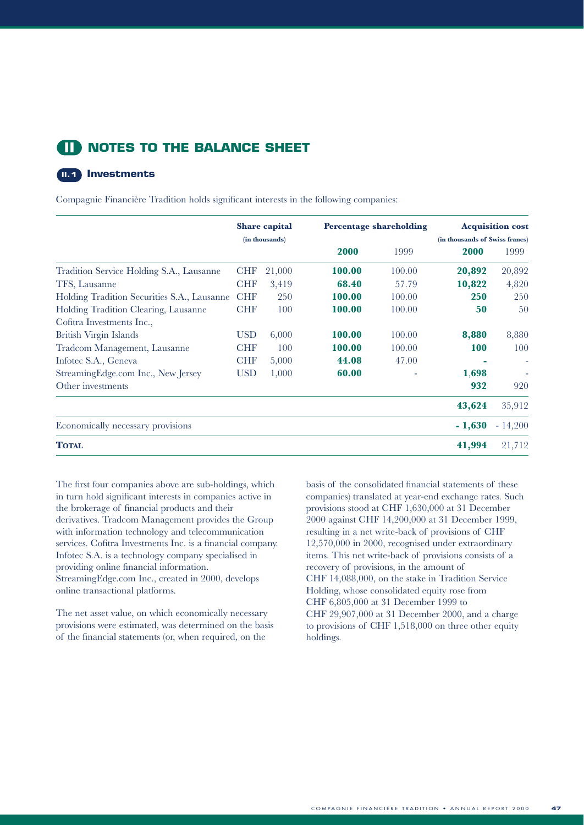### **NOTES TO THE BALANCE SHEET II**

#### **Investments II.1**

Compagnie Financière Tradition holds significant interests in the following companies:

|                                             |            | <b>Share capital</b> |        | <b>Percentage shareholding</b> |                                | <b>Acquisition cost</b> |
|---------------------------------------------|------------|----------------------|--------|--------------------------------|--------------------------------|-------------------------|
|                                             |            | (in thousands)       |        |                                | (in thousands of Swiss francs) |                         |
|                                             |            |                      | 2000   | 1999                           | 2000                           | 1999                    |
| Tradition Service Holding S.A., Lausanne    | <b>CHF</b> | 21,000               | 100.00 | 100.00                         | 20,892                         | 20,892                  |
| TFS, Lausanne                               | <b>CHF</b> | 3,419                | 68.40  | 57.79                          | 10,822                         | 4,820                   |
| Holding Tradition Securities S.A., Lausanne | <b>CHF</b> | 250                  | 100.00 | 100.00                         | <b>250</b>                     | 250                     |
| Holding Tradition Clearing, Lausanne        | <b>CHF</b> | 100                  | 100.00 | 100.00                         | 50                             | 50                      |
| Cofitra Investments Inc.,                   |            |                      |        |                                |                                |                         |
| British Virgin Islands                      | <b>USD</b> | 6,000                | 100.00 | 100.00                         | 8,880                          | 8,880                   |
| Tradcom Management, Lausanne                | <b>CHF</b> | 100                  | 100.00 | 100.00                         | 100                            | 100                     |
| Infotec S.A., Geneva                        | <b>CHF</b> | 5,000                | 44.08  | 47.00                          |                                |                         |
| StreamingEdge.com Inc., New Jersey          | <b>USD</b> | 1,000                | 60.00  |                                | 1,698                          |                         |
| Other investments                           |            |                      |        |                                | 932                            | 920                     |
|                                             |            |                      |        |                                | 43,624                         | 35,912                  |
| Economically necessary provisions           |            |                      |        |                                | $-1,630$                       | $-14,200$               |
| <b>TOTAL</b>                                |            |                      |        |                                | 41,994                         | 21,712                  |

The first four companies above are sub-holdings, which in turn hold significant interests in companies active in the brokerage of financial products and their derivatives. Tradcom Management provides the Group with information technology and telecommunication services. Cofitra Investments Inc. is a financial company. Infotec S.A. is a technology company specialised in providing online financial information. StreamingEdge.com Inc., created in 2000, develops online transactional platforms.

The net asset value, on which economically necessary provisions were estimated, was determined on the basis of the financial statements (or, when required, on the

basis of the consolidated financial statements of these companies) translated at year-end exchange rates. Such provisions stood at CHF 1,630,000 at 31 December 2000 against CHF 14,200,000 at 31 December 1999, resulting in a net write-back of provisions of CHF 12,570,000 in 2000, recognised under extraordinary items. This net write-back of provisions consists of a recovery of provisions, in the amount of CHF 14,088,000, on the stake in Tradition Service Holding, whose consolidated equity rose from CHF 6,805,000 at 31 December 1999 to CHF 29,907,000 at 31 December 2000, and a charge to provisions of CHF 1,518,000 on three other equity holdings.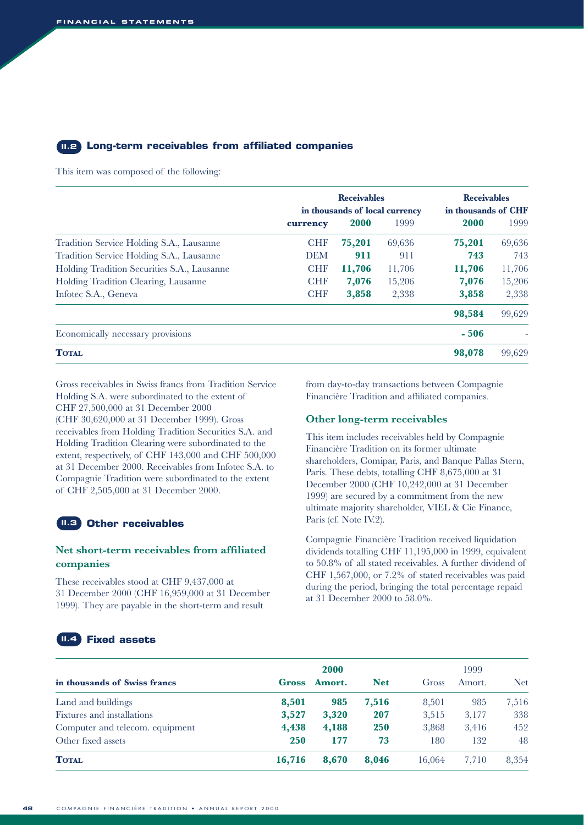#### **Long-term receivables from affiliated companies II.2**

This item was composed of the following:

|                                             | <b>Receivables</b><br>in thousands of local currency |        |        | <b>Receivables</b><br>in thousands of CHF |        |  |
|---------------------------------------------|------------------------------------------------------|--------|--------|-------------------------------------------|--------|--|
|                                             | currency                                             | 2000   | 1999   | 2000                                      | 1999   |  |
| Tradition Service Holding S.A., Lausanne    | <b>CHF</b>                                           | 75,201 | 69,636 | 75,201                                    | 69,636 |  |
| Tradition Service Holding S.A., Lausanne    | <b>DEM</b>                                           | 911    | 911    | 743                                       | 743    |  |
| Holding Tradition Securities S.A., Lausanne | <b>CHF</b>                                           | 11,706 | 11,706 | 11,706                                    | 11,706 |  |
| Holding Tradition Clearing, Lausanne        | <b>CHF</b>                                           | 7,076  | 15,206 | 7,076                                     | 15,206 |  |
| Infotec S.A., Geneva                        | <b>CHF</b>                                           | 3,858  | 2,338  | 3,858                                     | 2,338  |  |
|                                             |                                                      |        |        | 98,584                                    | 99,629 |  |
| Economically necessary provisions           |                                                      |        |        | $-506$                                    |        |  |
| <b>TOTAL</b>                                |                                                      |        |        | 98,078                                    | 99,629 |  |

Gross receivables in Swiss francs from Tradition Service Holding S.A. were subordinated to the extent of CHF 27,500,000 at 31 December 2000 (CHF 30,620,000 at 31 December 1999). Gross receivables from Holding Tradition Securities S.A. and Holding Tradition Clearing were subordinated to the extent, respectively, of CHF 143,000 and CHF 500,000 at 31 December 2000. Receivables from Infotec S.A. to Compagnie Tradition were subordinated to the extent of CHF 2,505,000 at 31 December 2000.

#### **Other receivables II.3**

#### **Net short-term receivables from affiliated companies**

These receivables stood at CHF 9,437,000 at 31 December 2000 (CHF 16,959,000 at 31 December 1999). They are payable in the short-term and result

from day-to-day transactions between Compagnie Financière Tradition and affiliated companies.

#### **Other long-term receivables**

This item includes receivables held by Compagnie Financière Tradition on its former ultimate shareholders, Comipar, Paris, and Banque Pallas Stern, Paris. These debts, totalling CHF 8,675,000 at 31 December 2000 (CHF 10,242,000 at 31 December 1999) are secured by a commitment from the new ultimate majority shareholder, VIEL & Cie Finance, Paris (cf. Note IV.2).

Compagnie Financière Tradition received liquidation dividends totalling CHF 11,195,000 in 1999, equivalent to 50.8% of all stated receivables. A further dividend of CHF 1,567,000, or 7.2% of stated receivables was paid during the period, bringing the total percentage repaid at 31 December 2000 to 58.0%.

#### **Fixed assets II.4**

|                                 | 2000       |        |            |        | 1999   |            |  |
|---------------------------------|------------|--------|------------|--------|--------|------------|--|
| in thousands of Swiss francs    | Gross      | Amort. | <b>Net</b> | Gross  | Amort. | <b>Net</b> |  |
| Land and buildings              | 8,501      | 985    | 7,516      | 8,501  | 985    | 7,516      |  |
| Fixtures and installations      | 3,527      | 3,320  | 207        | 3,515  | 3,177  | 338        |  |
| Computer and telecom. equipment | 4,438      | 4,188  | <b>250</b> | 3,868  | 3,416  | 452        |  |
| Other fixed assets              | <b>250</b> | 177    | 73         | 180    | 132    | 48         |  |
| <b>TOTAL</b>                    | 16,716     | 8.670  | 8.046      | 16.064 | 7.710  | 8,354      |  |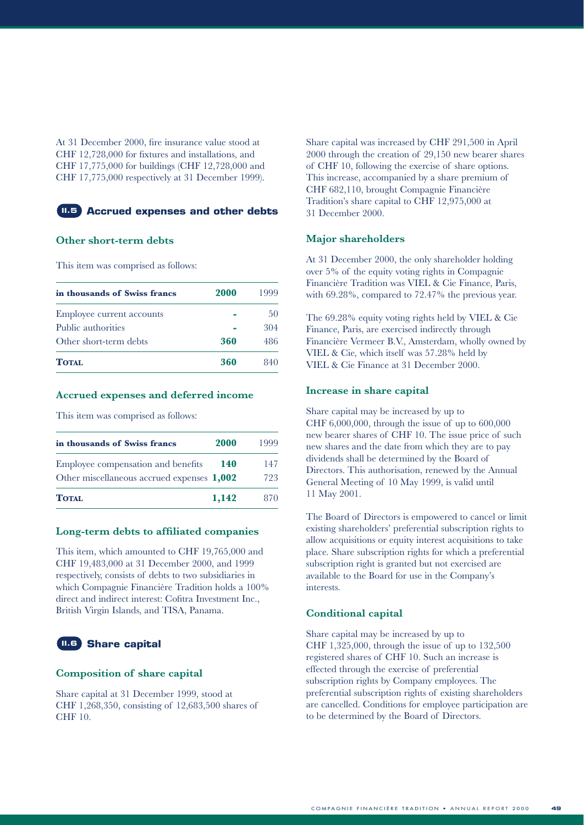At 31 December 2000, fire insurance value stood at CHF 12,728,000 for fixtures and installations, and CHF 17,775,000 for buildings (CHF 12,728,000 and CHF 17,775,000 respectively at 31 December 1999).



#### **Other short-term debts**

This item was comprised as follows:

| in thousands of Swiss francs | 2000 | 1999 |
|------------------------------|------|------|
| Employee current accounts    |      | 50   |
| Public authorities           |      | 304  |
| Other short-term debts       | 360  | 486  |
| <b>TOTAL</b>                 | 360  | 840  |

#### **Accrued expenses and deferred income**

This item was comprised as follows:

| in thousands of Swiss francs                                                     | <b>2000</b> | 1999       |
|----------------------------------------------------------------------------------|-------------|------------|
| Employee compensation and benefits<br>Other miscellaneous accrued expenses 1,002 | 140         | 147<br>723 |
| <b>TOTAL</b>                                                                     | 1,142       | 870.       |

#### **Long-term debts to affiliated companies**

This item, which amounted to CHF 19,765,000 and CHF 19,483,000 at 31 December 2000, and 1999 respectively, consists of debts to two subsidiaries in which Compagnie Financière Tradition holds a 100% direct and indirect interest: Cofitra Investment Inc., British Virgin Islands, and TISA, Panama.

### **Share capital II.6**

#### **Composition of share capital**

Share capital at 31 December 1999, stood at CHF 1,268,350, consisting of 12,683,500 shares of CHF 10.

Share capital was increased by CHF 291,500 in April 2000 through the creation of 29,150 new bearer shares of CHF 10, following the exercise of share options. This increase, accompanied by a share premium of CHF 682,110, brought Compagnie Financière Tradition's share capital to CHF 12,975,000 at 31 December 2000.

#### **Major shareholders**

At 31 December 2000, the only shareholder holding over 5% of the equity voting rights in Compagnie Financière Tradition was VIEL & Cie Finance, Paris, with 69.28%, compared to 72.47% the previous year.

The 69.28% equity voting rights held by VIEL & Cie Finance, Paris, are exercised indirectly through Financière Vermeer B.V., Amsterdam, wholly owned by VIEL & Cie, which itself was 57.28% held by VIEL & Cie Finance at 31 December 2000.

#### **Increase in share capital**

Share capital may be increased by up to CHF 6,000,000, through the issue of up to 600,000 new bearer shares of CHF 10. The issue price of such new shares and the date from which they are to pay dividends shall be determined by the Board of Directors. This authorisation, renewed by the Annual General Meeting of 10 May 1999, is valid until 11 May 2001.

The Board of Directors is empowered to cancel or limit existing shareholders' preferential subscription rights to allow acquisitions or equity interest acquisitions to take place. Share subscription rights for which a preferential subscription right is granted but not exercised are available to the Board for use in the Company's interests.

#### **Conditional capital**

Share capital may be increased by up to CHF 1,325,000, through the issue of up to 132,500 registered shares of CHF 10. Such an increase is effected through the exercise of preferential subscription rights by Company employees. The preferential subscription rights of existing shareholders are cancelled. Conditions for employee participation are to be determined by the Board of Directors.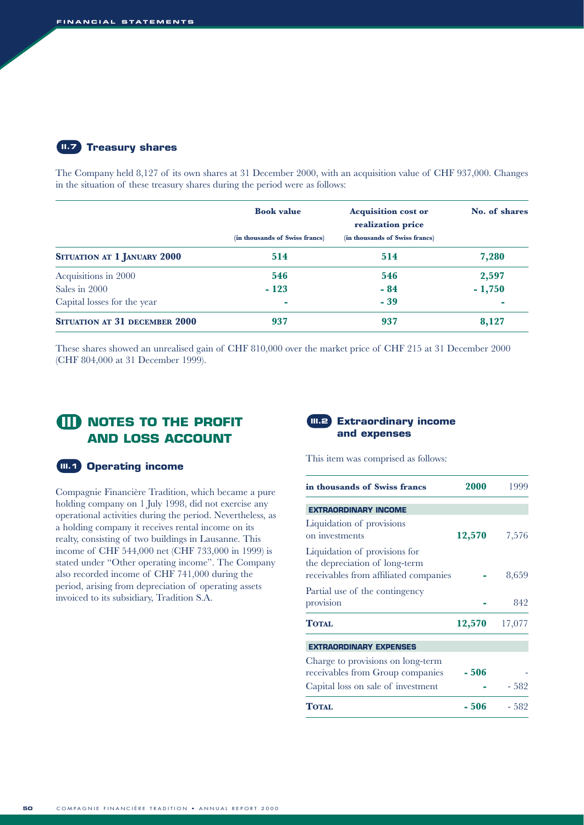#### **Treasury shares II.7**

The Company held 8,127 of its own shares at 31 December 2000, with an acquisition value of CHF 937,000. Changes in the situation of these treasury shares during the period were as follows:

|                                      | <b>Book value</b>              | <b>Acquisition cost or</b><br>realization price | No. of shares |
|--------------------------------------|--------------------------------|-------------------------------------------------|---------------|
|                                      | (in thousands of Swiss francs) | (in thousands of Swiss francs)                  |               |
| SITUATION AT 1 JANUARY 2000          | 514                            | 514                                             | 7,280         |
| Acquisitions in 2000                 | 546                            | 546                                             | 2,597         |
| Sales in 2000                        | $-123$                         | $-84$                                           | $-1,750$      |
| Capital losses for the year          | <b>CO</b>                      | $-39$                                           | ۰             |
| <b>SITUATION AT 31 DECEMBER 2000</b> | 937                            | 937                                             | 8,127         |

These shares showed an unrealised gain of CHF 810,000 over the market price of CHF 215 at 31 December 2000 (CHF 804,000 at 31 December 1999).

# **NOTES TO THE PROFIT III AND LOSS ACCOUNT**

#### **III.1** Operating income

Compagnie Financière Tradition, which became a pure holding company on 1 July 1998, did not exercise any operational activities during the period. Nevertheless, as a holding company it receives rental income on its realty, consisting of two buildings in Lausanne. This income of CHF 544,000 net (CHF 733,000 in 1999) is stated under "Other operating income". The Company also recorded income of CHF 741,000 during the period, arising from depreciation of operating assets invoiced to its subsidiary, Tradition S.A.

#### **Extraordinary income and expenses**

This item was comprised as follows:

| in thousands of Swiss francs                                                                            | 2000   | 1999   |
|---------------------------------------------------------------------------------------------------------|--------|--------|
| <b>EXTRAORDINARY INCOME</b>                                                                             |        |        |
| Liquidation of provisions<br>on investments                                                             | 12,570 | 7,576  |
| Liquidation of provisions for<br>the depreciation of long-term<br>receivables from affiliated companies |        | 8,659  |
| Partial use of the contingency<br>provision                                                             |        | 842    |
| <b>TOTAL</b>                                                                                            | 12,570 | 17,077 |
| <b>EXTRAORDINARY EXPENSES</b>                                                                           |        |        |
| Charge to provisions on long-term<br>receivables from Group companies                                   | $-506$ |        |
| Capital loss on sale of investment                                                                      |        | $-582$ |
| <b>TOTAL</b>                                                                                            | - 506  | $-582$ |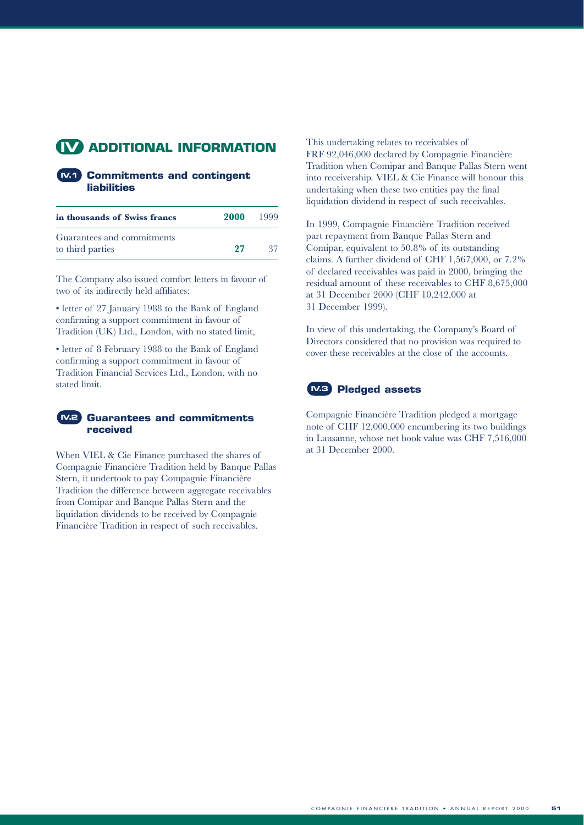# **ADDITIONAL INFORMATION IV**

#### **Commitments and contingent IV.1 liabilities**

| in thousands of Swiss francs | 2000 | 1999 |
|------------------------------|------|------|
| Guarantees and commitments   |      |      |
| to third parties             | 27   | -37. |

The Company also issued comfort letters in favour of two of its indirectly held affiliates:

• letter of 27 January 1988 to the Bank of England confirming a support commitment in favour of Tradition (UK) Ltd., London, with no stated limit,

• letter of 8 February 1988 to the Bank of England confirming a support commitment in favour of Tradition Financial Services Ltd., London, with no stated limit.

#### **Guarantees and commitments received IV.2**

When VIEL & Cie Finance purchased the shares of Compagnie Financière Tradition held by Banque Pallas Stern, it undertook to pay Compagnie Financière Tradition the difference between aggregate receivables from Comipar and Banque Pallas Stern and the liquidation dividends to be received by Compagnie Financière Tradition in respect of such receivables.

This undertaking relates to receivables of FRF 92,046,000 declared by Compagnie Financière Tradition when Comipar and Banque Pallas Stern went into receivership. VIEL & Cie Finance will honour this undertaking when these two entities pay the final liquidation dividend in respect of such receivables.

In 1999, Compagnie Financière Tradition received part repayment from Banque Pallas Stern and Comipar, equivalent to 50.8% of its outstanding claims. A further dividend of CHF 1,567,000, or 7.2% of declared receivables was paid in 2000, bringing the residual amount of these receivables to CHF 8,675,000 at 31 December 2000 (CHF 10,242,000 at 31 December 1999).

In view of this undertaking, the Company's Board of Directors considered that no provision was required to cover these receivables at the close of the accounts.



Compagnie Financière Tradition pledged a mortgage note of CHF 12,000,000 encumbering its two buildings in Lausanne, whose net book value was CHF 7,516,000 at 31 December 2000.